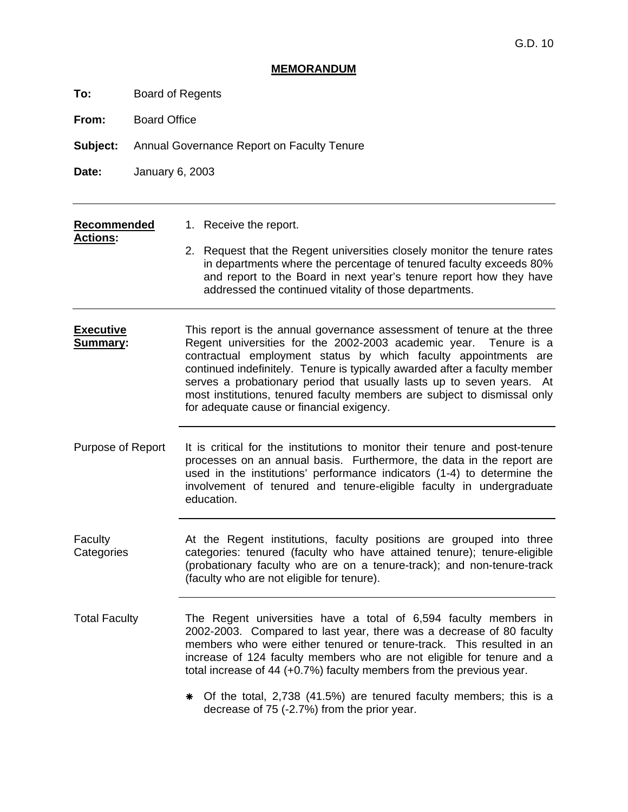#### **MEMORANDUM**

**To:** Board of Regents

**From:** Board Office

**Subject:** Annual Governance Report on Faculty Tenure

**Date:** January 6, 2003

#### **Recommended** 1. Receive the report.

**Actions:** 

- 
- - 2. Request that the Regent universities closely monitor the tenure rates in departments where the percentage of tenured faculty exceeds 80% and report to the Board in next year's tenure report how they have addressed the continued vitality of those departments.
- **Executive Summary:**  This report is the annual governance assessment of tenure at the three Regent universities for the 2002-2003 academic year. Tenure is a contractual employment status by which faculty appointments are continued indefinitely. Tenure is typically awarded after a faculty member serves a probationary period that usually lasts up to seven years. At most institutions, tenured faculty members are subject to dismissal only for adequate cause or financial exigency.
- Purpose of Report It is critical for the institutions to monitor their tenure and post-tenure processes on an annual basis. Furthermore, the data in the report are used in the institutions' performance indicators (1-4) to determine the involvement of tenured and tenure-eligible faculty in undergraduate education.
- Faculty **Categories** At the Regent institutions, faculty positions are grouped into three categories: tenured (faculty who have attained tenure); tenure-eligible (probationary faculty who are on a tenure-track); and non-tenure-track (faculty who are not eligible for tenure).
- Total Faculty The Regent universities have a total of 6,594 faculty members in 2002-2003. Compared to last year, there was a decrease of 80 faculty members who were either tenured or tenure-track. This resulted in an increase of 124 faculty members who are not eligible for tenure and a total increase of 44 (+0.7%) faculty members from the previous year.
	- $*$  Of the total, 2,738 (41.5%) are tenured faculty members; this is a decrease of 75 (-2.7%) from the prior year.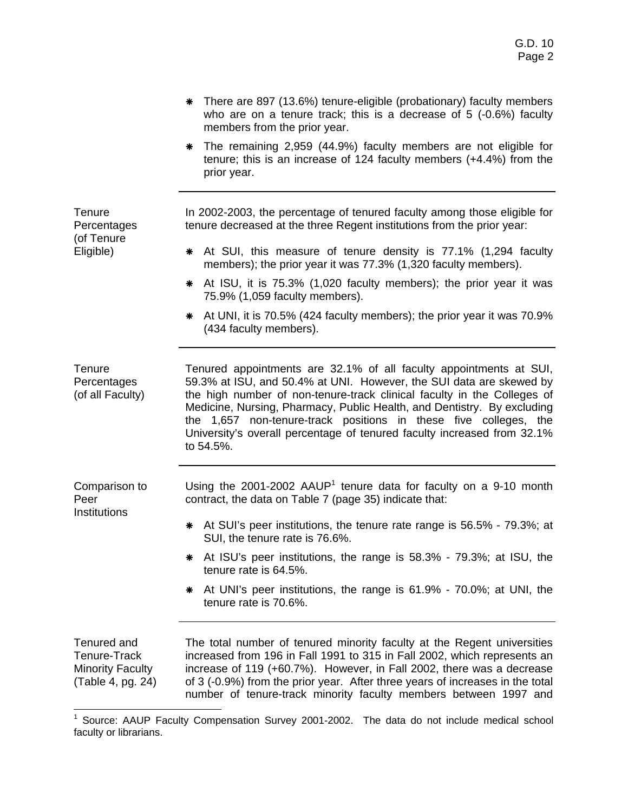|                                                                             | There are 897 (13.6%) tenure-eligible (probationary) faculty members<br>who are on a tenure track; this is a decrease of $5$ (-0.6%) faculty<br>members from the prior year.                                                                                                                                                                                                                                                                                |
|-----------------------------------------------------------------------------|-------------------------------------------------------------------------------------------------------------------------------------------------------------------------------------------------------------------------------------------------------------------------------------------------------------------------------------------------------------------------------------------------------------------------------------------------------------|
|                                                                             | The remaining 2,959 (44.9%) faculty members are not eligible for<br>⋇<br>tenure; this is an increase of 124 faculty members (+4.4%) from the<br>prior year.                                                                                                                                                                                                                                                                                                 |
| Tenure<br>Percentages<br>(of Tenure                                         | In 2002-2003, the percentage of tenured faculty among those eligible for<br>tenure decreased at the three Regent institutions from the prior year:                                                                                                                                                                                                                                                                                                          |
| Eligible)                                                                   | At SUI, this measure of tenure density is 77.1% (1,294 faculty<br>⋇<br>members); the prior year it was 77.3% (1,320 faculty members).                                                                                                                                                                                                                                                                                                                       |
|                                                                             | At ISU, it is 75.3% (1,020 faculty members); the prior year it was<br>⋇<br>75.9% (1,059 faculty members).                                                                                                                                                                                                                                                                                                                                                   |
|                                                                             | At UNI, it is 70.5% (424 faculty members); the prior year it was 70.9%<br>⋇<br>(434 faculty members).                                                                                                                                                                                                                                                                                                                                                       |
| Tenure<br>Percentages<br>(of all Faculty)                                   | Tenured appointments are 32.1% of all faculty appointments at SUI,<br>59.3% at ISU, and 50.4% at UNI. However, the SUI data are skewed by<br>the high number of non-tenure-track clinical faculty in the Colleges of<br>Medicine, Nursing, Pharmacy, Public Health, and Dentistry. By excluding<br>the 1,657 non-tenure-track positions in these five colleges, the<br>University's overall percentage of tenured faculty increased from 32.1%<br>to 54.5%. |
| Comparison to<br>Peer                                                       | Using the 2001-2002 AAUP <sup>1</sup> tenure data for faculty on a 9-10 month<br>contract, the data on Table 7 (page 35) indicate that:                                                                                                                                                                                                                                                                                                                     |
| Institutions                                                                | * At SUI's peer institutions, the tenure rate range is 56.5% - 79.3%; at<br>SUI, the tenure rate is 76.6%.                                                                                                                                                                                                                                                                                                                                                  |
|                                                                             | At ISU's peer institutions, the range is 58.3% - 79.3%; at ISU, the<br>tenure rate is 64.5%.                                                                                                                                                                                                                                                                                                                                                                |
|                                                                             | At UNI's peer institutions, the range is 61.9% - 70.0%; at UNI, the<br>⋇<br>tenure rate is 70.6%.                                                                                                                                                                                                                                                                                                                                                           |
| Tenured and<br>Tenure-Track<br><b>Minority Faculty</b><br>(Table 4, pg. 24) | The total number of tenured minority faculty at the Regent universities<br>increased from 196 in Fall 1991 to 315 in Fall 2002, which represents an<br>increase of 119 (+60.7%). However, in Fall 2002, there was a decrease<br>of 3 (-0.9%) from the prior year. After three years of increases in the total<br>number of tenure-track minority faculty members between 1997 and                                                                           |

 1 Source: AAUP Faculty Compensation Survey 2001-2002. The data do not include medical school faculty or librarians.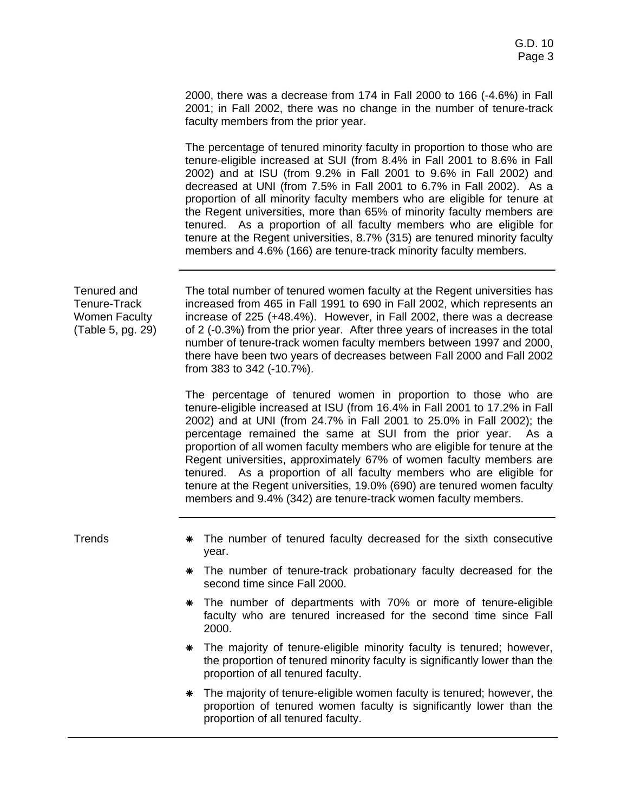2000, there was a decrease from 174 in Fall 2000 to 166 (-4.6%) in Fall 2001; in Fall 2002, there was no change in the number of tenure-track faculty members from the prior year.

The percentage of tenured minority faculty in proportion to those who are tenure-eligible increased at SUI (from 8.4% in Fall 2001 to 8.6% in Fall 2002) and at ISU (from 9.2% in Fall 2001 to 9.6% in Fall 2002) and decreased at UNI (from 7.5% in Fall 2001 to 6.7% in Fall 2002). As a proportion of all minority faculty members who are eligible for tenure at the Regent universities, more than 65% of minority faculty members are tenured. As a proportion of all faculty members who are eligible for tenure at the Regent universities, 8.7% (315) are tenured minority faculty members and 4.6% (166) are tenure-track minority faculty members.

Tenured and Tenure-Track Women Faculty (Table 5, pg. 29)

The total number of tenured women faculty at the Regent universities has increased from 465 in Fall 1991 to 690 in Fall 2002, which represents an increase of 225 (+48.4%). However, in Fall 2002, there was a decrease of 2 (-0.3%) from the prior year. After three years of increases in the total number of tenure-track women faculty members between 1997 and 2000, there have been two years of decreases between Fall 2000 and Fall 2002 from 383 to 342 (-10.7%).

The percentage of tenured women in proportion to those who are tenure-eligible increased at ISU (from 16.4% in Fall 2001 to 17.2% in Fall 2002) and at UNI (from 24.7% in Fall 2001 to 25.0% in Fall 2002); the percentage remained the same at SUI from the prior year. As a proportion of all women faculty members who are eligible for tenure at the Regent universities, approximately 67% of women faculty members are tenured. As a proportion of all faculty members who are eligible for tenure at the Regent universities, 19.0% (690) are tenured women faculty members and 9.4% (342) are tenure-track women faculty members.

- Trends **\*** The number of tenured faculty decreased for the sixth consecutive year.
	- \* The number of tenure-track probationary faculty decreased for the second time since Fall 2000.
	- \* The number of departments with 70% or more of tenure-eligible faculty who are tenured increased for the second time since Fall 2000.
	- \* The majority of tenure-eligible minority faculty is tenured; however, the proportion of tenured minority faculty is significantly lower than the proportion of all tenured faculty.
	- \* The majority of tenure-eligible women faculty is tenured; however, the proportion of tenured women faculty is significantly lower than the proportion of all tenured faculty.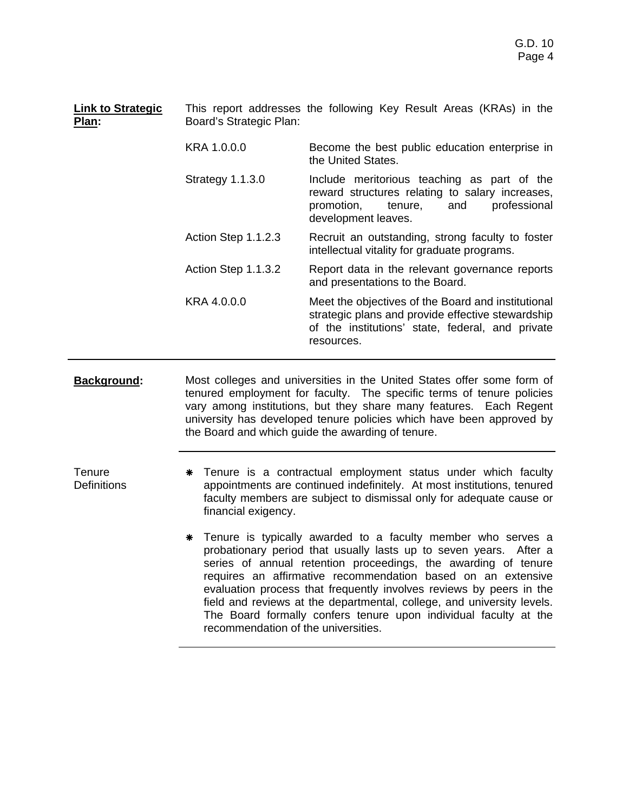**Link to Strategic Plan:**  This report addresses the following Key Result Areas (KRAs) in the Board's Strategic Plan:

- KRA 1.0.0.0 Become the best public education enterprise in the United States.
- Strategy 1.1.3.0 Include meritorious teaching as part of the reward structures relating to salary increases, promotion, tenure, and professional development leaves.
- Action Step 1.1.2.3 Recruit an outstanding, strong faculty to foster intellectual vitality for graduate programs.
- Action Step 1.1.3.2 Report data in the relevant governance reports and presentations to the Board.
- KRA 4.0.0.0 Meet the objectives of the Board and institutional strategic plans and provide effective stewardship of the institutions' state, federal, and private resources.
- **Background:** Most colleges and universities in the United States offer some form of tenured employment for faculty. The specific terms of tenure policies vary among institutions, but they share many features. Each Regent university has developed tenure policies which have been approved by the Board and which guide the awarding of tenure.

**Tenure Definitions** 

- \* Tenure is a contractual employment status under which faculty appointments are continued indefinitely. At most institutions, tenured faculty members are subject to dismissal only for adequate cause or financial exigency.
	- \* Tenure is typically awarded to a faculty member who serves a probationary period that usually lasts up to seven years. After a series of annual retention proceedings, the awarding of tenure requires an affirmative recommendation based on an extensive evaluation process that frequently involves reviews by peers in the field and reviews at the departmental, college, and university levels. The Board formally confers tenure upon individual faculty at the recommendation of the universities.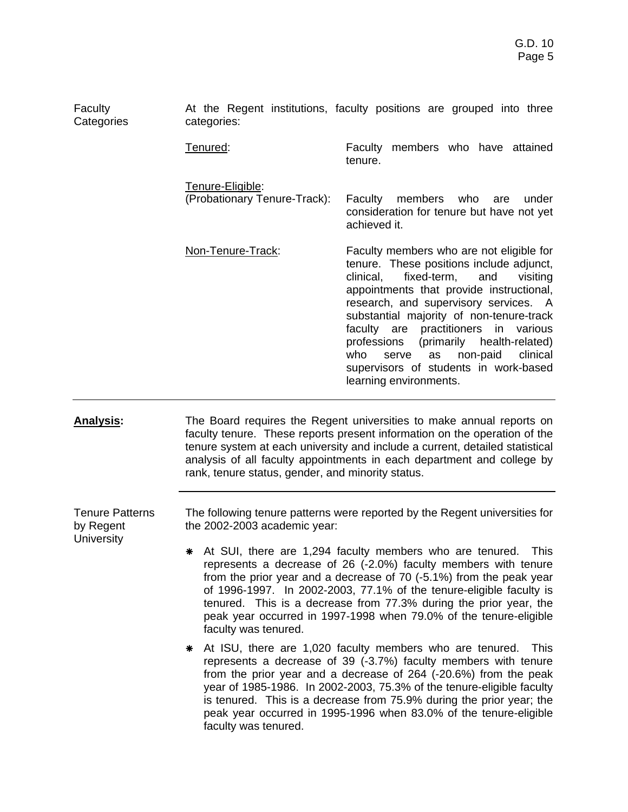| Faculty<br>Categories               | categories:                                                                                                                                                                                                                                                                                                                                                                                                                                        | At the Regent institutions, faculty positions are grouped into three                                                                                                                                                                                                                                                                                                                                                                                                             |  |  |
|-------------------------------------|----------------------------------------------------------------------------------------------------------------------------------------------------------------------------------------------------------------------------------------------------------------------------------------------------------------------------------------------------------------------------------------------------------------------------------------------------|----------------------------------------------------------------------------------------------------------------------------------------------------------------------------------------------------------------------------------------------------------------------------------------------------------------------------------------------------------------------------------------------------------------------------------------------------------------------------------|--|--|
|                                     | Tenured:                                                                                                                                                                                                                                                                                                                                                                                                                                           | Faculty members who have attained<br>tenure.                                                                                                                                                                                                                                                                                                                                                                                                                                     |  |  |
|                                     | Tenure-Eligible:<br>(Probationary Tenure-Track):                                                                                                                                                                                                                                                                                                                                                                                                   | Faculty<br>members<br>who<br>under<br>are<br>consideration for tenure but have not yet<br>achieved it.                                                                                                                                                                                                                                                                                                                                                                           |  |  |
|                                     | Non-Tenure-Track:                                                                                                                                                                                                                                                                                                                                                                                                                                  | Faculty members who are not eligible for<br>tenure. These positions include adjunct,<br>fixed-term,<br>clinical,<br>and<br>visiting<br>appointments that provide instructional,<br>research, and supervisory services. A<br>substantial majority of non-tenure-track<br>faculty are practitioners<br>in<br>various<br>professions<br>(primarily health-related)<br>who<br>non-paid<br>clinical<br>serve<br>as<br>supervisors of students in work-based<br>learning environments. |  |  |
| <b>Analysis:</b>                    | rank, tenure status, gender, and minority status.                                                                                                                                                                                                                                                                                                                                                                                                  | The Board requires the Regent universities to make annual reports on<br>faculty tenure. These reports present information on the operation of the<br>tenure system at each university and include a current, detailed statistical<br>analysis of all faculty appointments in each department and college by                                                                                                                                                                      |  |  |
| <b>Tenure Patterns</b><br>by Regent | the 2002-2003 academic year:                                                                                                                                                                                                                                                                                                                                                                                                                       | The following tenure patterns were reported by the Regent universities for                                                                                                                                                                                                                                                                                                                                                                                                       |  |  |
| <b>University</b>                   | * At SUI, there are 1,294 faculty members who are tenured. This<br>represents a decrease of 26 (-2.0%) faculty members with tenure<br>from the prior year and a decrease of 70 (-5.1%) from the peak year<br>of 1996-1997. In 2002-2003, 77.1% of the tenure-eligible faculty is<br>tenured. This is a decrease from 77.3% during the prior year, the<br>peak year occurred in 1997-1998 when 79.0% of the tenure-eligible<br>faculty was tenured. |                                                                                                                                                                                                                                                                                                                                                                                                                                                                                  |  |  |
|                                     | At ISU, there are 1,020 faculty members who are tenured.<br><b>This</b><br>⋇<br>represents a decrease of 39 (-3.7%) faculty members with tenure<br>from the prior year and a decrease of 264 (-20.6%) from the peak<br>year of 1985-1986. In 2002-2003, 75.3% of the tenure-eligible faculty<br>is tenured. This is a decrease from 75.9% during the prior year; the<br>peak year occurred in 1995-1996 when 83.0% of the tenure-eligible          |                                                                                                                                                                                                                                                                                                                                                                                                                                                                                  |  |  |

faculty was tenured.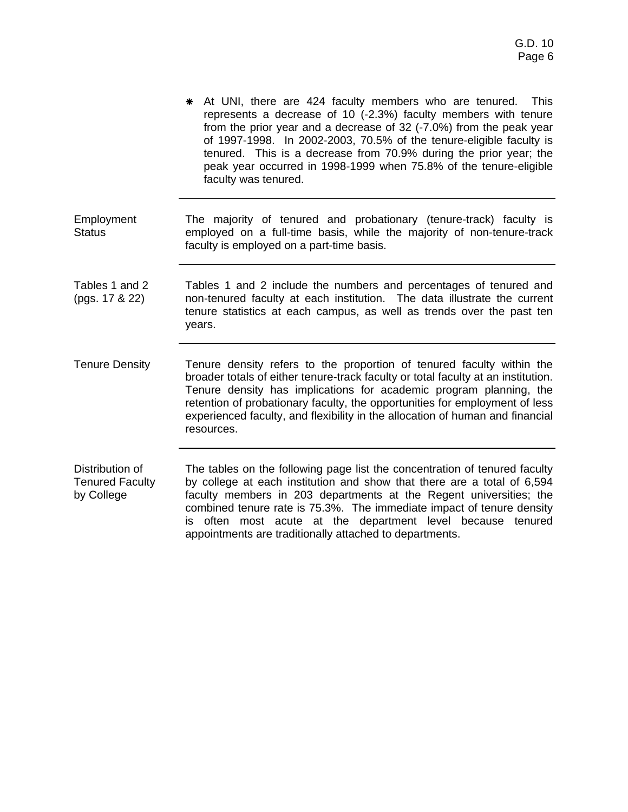|                                  | At UNI, there are 424 faculty members who are tenured.<br><b>This</b><br>⋇<br>represents a decrease of 10 (-2.3%) faculty members with tenure<br>from the prior year and a decrease of 32 (-7.0%) from the peak year<br>of 1997-1998. In 2002-2003, 70.5% of the tenure-eligible faculty is<br>tenured. This is a decrease from 70.9% during the prior year; the<br>peak year occurred in 1998-1999 when 75.8% of the tenure-eligible<br>faculty was tenured. |
|----------------------------------|---------------------------------------------------------------------------------------------------------------------------------------------------------------------------------------------------------------------------------------------------------------------------------------------------------------------------------------------------------------------------------------------------------------------------------------------------------------|
| Employment<br><b>Status</b>      | The majority of tenured and probationary (tenure-track) faculty is<br>employed on a full-time basis, while the majority of non-tenure-track<br>faculty is employed on a part-time basis.                                                                                                                                                                                                                                                                      |
| Tables 1 and 2<br>(pgs. 17 & 22) | Tables 1 and 2 include the numbers and percentages of tenured and<br>non-tenured faculty at each institution. The data illustrate the current<br>tenure statistics at each campus, as well as trends over the past ten<br>years.                                                                                                                                                                                                                              |
| <b>Tenure Density</b>            | Tenure density refers to the proportion of tenured faculty within the<br>broader totals of either tenure-track faculty or total faculty at an institution.<br>Tenure density has implications for academic program planning, the<br>retention of probationary faculty, the opportunities for employment of less<br>experienced faculty, and flexibility in the allocation of human and financial<br>resources.                                                |
| Distribution of                  | The tables on the following page list the concentration of tenured faculty                                                                                                                                                                                                                                                                                                                                                                                    |

Distribution of Tenured Faculty by College The tables on the following page list the concentration of tenured faculty by college at each institution and show that there are a total of 6,594 faculty members in 203 departments at the Regent universities; the combined tenure rate is 75.3%. The immediate impact of tenure density is often most acute at the department level because tenured appointments are traditionally attached to departments.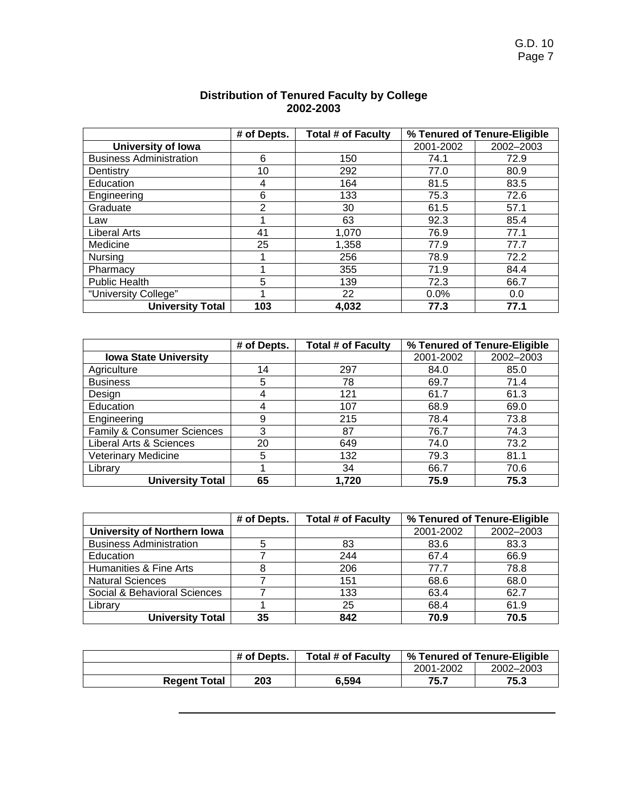|                                | % Tenured of Tenure-Eligible<br># of Depts.<br><b>Total # of Faculty</b> |       |           |           |
|--------------------------------|--------------------------------------------------------------------------|-------|-----------|-----------|
| University of Iowa             |                                                                          |       | 2001-2002 | 2002-2003 |
| <b>Business Administration</b> | 6                                                                        | 150   | 74.1      | 72.9      |
| Dentistry                      | 10                                                                       | 292   | 77.0      | 80.9      |
| Education                      | 4                                                                        | 164   | 81.5      | 83.5      |
| Engineering                    | 6                                                                        | 133   | 75.3      | 72.6      |
| Graduate                       | $\overline{2}$                                                           | 30    | 61.5      | 57.1      |
| Law                            |                                                                          | 63    | 92.3      | 85.4      |
| Liberal Arts                   | 41                                                                       | 1,070 | 76.9      | 77.1      |
| Medicine                       | 25                                                                       | 1,358 | 77.9      | 77.7      |
| Nursing                        |                                                                          | 256   | 78.9      | 72.2      |
| Pharmacy                       |                                                                          | 355   | 71.9      | 84.4      |
| <b>Public Health</b>           | 5                                                                        | 139   | 72.3      | 66.7      |
| "University College"           |                                                                          | 22    | 0.0%      | 0.0       |
| <b>University Total</b>        | 103                                                                      | 4,032 | 77.3      | 77.1      |

### **Distribution of Tenured Faculty by College 2002-2003**

|                              | % Tenured of Tenure-Eligible<br># of Depts.<br><b>Total # of Faculty</b> |       |           |           |
|------------------------------|--------------------------------------------------------------------------|-------|-----------|-----------|
| <b>Iowa State University</b> |                                                                          |       | 2001-2002 | 2002-2003 |
| Agriculture                  | 14                                                                       | 297   | 84.0      | 85.0      |
| <b>Business</b>              | 5                                                                        | 78    | 69.7      | 71.4      |
| Design                       | 4                                                                        | 121   | 61.7      | 61.3      |
| Education                    | 4                                                                        | 107   | 68.9      | 69.0      |
| Engineering                  | 9                                                                        | 215   | 78.4      | 73.8      |
| Family & Consumer Sciences   | 3                                                                        | 87    | 76.7      | 74.3      |
| Liberal Arts & Sciences      | 20                                                                       | 649   | 74.0      | 73.2      |
| <b>Veterinary Medicine</b>   | 5                                                                        | 132   | 79.3      | 81.1      |
| Library                      |                                                                          | 34    | 66.7      | 70.6      |
| <b>University Total</b>      | 65                                                                       | 1.720 | 75.9      | 75.3      |

|                                | # of Depts. | <b>Total # of Faculty</b> |           | % Tenured of Tenure-Eligible |
|--------------------------------|-------------|---------------------------|-----------|------------------------------|
| University of Northern Iowa    |             |                           | 2001-2002 | 2002-2003                    |
| <b>Business Administration</b> |             | 83                        | 83.6      | 83.3                         |
| Education                      |             | 244                       | 67.4      | 66.9                         |
| Humanities & Fine Arts         |             | 206                       | 77.7      | 78.8                         |
| <b>Natural Sciences</b>        |             | 151                       | 68.6      | 68.0                         |
| Social & Behavioral Sciences   |             | 133                       | 63.4      | 62.7                         |
| Library                        |             | 25                        | 68.4      | 61.9                         |
| <b>University Total</b>        | 35          | 842                       | 70.9      | 70.5                         |

|                     | # of Depts. | <b>Total # of Faculty</b> | % Tenured of Tenure-Eligible |           |
|---------------------|-------------|---------------------------|------------------------------|-----------|
|                     |             |                           | 2001-2002                    | 2002-2003 |
| <b>Regent Total</b> | 203         | 6.594                     | 75.7                         | 75.3      |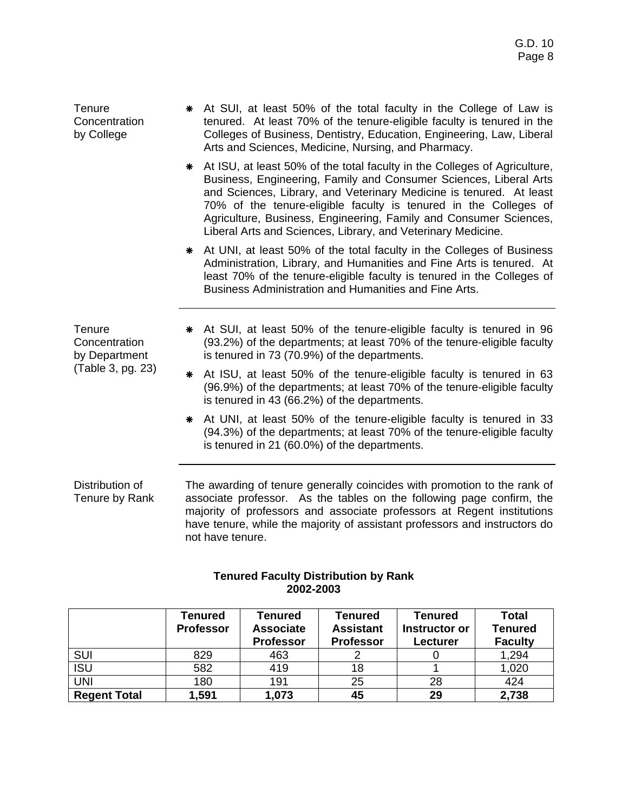**Tenure Concentration** by College \* At SUI, at least 50% of the total faculty in the College of Law is tenured. At least 70% of the tenure-eligible faculty is tenured in the Colleges of Business, Dentistry, Education, Engineering, Law, Liberal Arts and Sciences, Medicine, Nursing, and Pharmacy. \* At ISU, at least 50% of the total faculty in the Colleges of Agriculture, Business, Engineering, Family and Consumer Sciences, Liberal Arts and Sciences, Library, and Veterinary Medicine is tenured. At least 70% of the tenure-eligible faculty is tenured in the Colleges of Agriculture, Business, Engineering, Family and Consumer Sciences, Liberal Arts and Sciences, Library, and Veterinary Medicine. \* At UNI, at least 50% of the total faculty in the Colleges of Business Administration, Library, and Humanities and Fine Arts is tenured. At least 70% of the tenure-eligible faculty is tenured in the Colleges of Business Administration and Humanities and Fine Arts. **Tenure Concentration** by Department (Table 3, pg. 23) \* At SUI, at least 50% of the tenure-eligible faculty is tenured in 96 (93.2%) of the departments; at least 70% of the tenure-eligible faculty is tenured in 73 (70.9%) of the departments. \* At ISU, at least 50% of the tenure-eligible faculty is tenured in 63 (96.9%) of the departments; at least 70% of the tenure-eligible faculty is tenured in 43 (66.2%) of the departments. \* At UNI, at least 50% of the tenure-eligible faculty is tenured in 33 (94.3%) of the departments; at least 70% of the tenure-eligible faculty is tenured in 21 (60.0%) of the departments. Distribution of Tenure by Rank The awarding of tenure generally coincides with promotion to the rank of associate professor. As the tables on the following page confirm, the majority of professors and associate professors at Regent institutions

have tenure, while the majority of assistant professors and instructors do not have tenure.

|                     | Tenured<br><b>Professor</b> | Tenured<br><b>Associate</b><br><b>Professor</b> | Tenured<br><b>Assistant</b><br><b>Professor</b> | Tenured<br>Instructor or<br>Lecturer | <b>Total</b><br><b>Tenured</b><br><b>Faculty</b> |
|---------------------|-----------------------------|-------------------------------------------------|-------------------------------------------------|--------------------------------------|--------------------------------------------------|
| SUI                 | 829                         | 463                                             |                                                 |                                      | 1,294                                            |
| <b>ISU</b>          | 582                         | 419                                             | 18                                              |                                      | 1,020                                            |
| <b>UNI</b>          | 180                         | 191                                             | 25                                              | 28                                   | 424                                              |
| <b>Regent Total</b> | 1,591                       | 1,073                                           | 45                                              | 29                                   | 2,738                                            |

### **Tenured Faculty Distribution by Rank 2002-2003**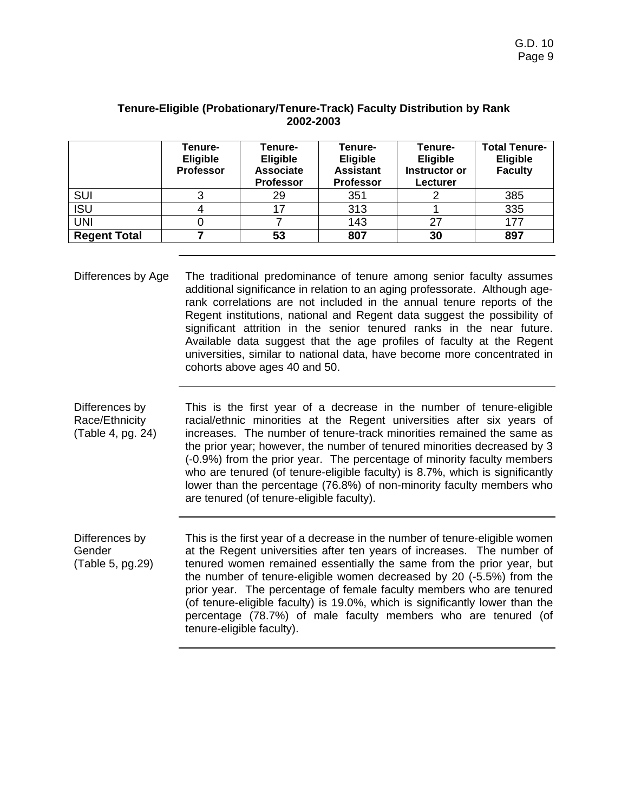|                     | Tenure-<br><b>Eligible</b><br><b>Professor</b> | Tenure-<br><b>Eligible</b><br><b>Associate</b><br><b>Professor</b> | Tenure-<br><b>Eligible</b><br><b>Assistant</b><br><b>Professor</b> | Tenure-<br><b>Eligible</b><br>Instructor or<br>Lecturer | <b>Total Tenure-</b><br><b>Eligible</b><br><b>Faculty</b> |
|---------------------|------------------------------------------------|--------------------------------------------------------------------|--------------------------------------------------------------------|---------------------------------------------------------|-----------------------------------------------------------|
| <b>SUI</b>          |                                                | 29                                                                 | 351                                                                |                                                         | 385                                                       |
| <b>ISU</b>          |                                                | 17                                                                 | 313                                                                |                                                         | 335                                                       |
| <b>UNI</b>          |                                                |                                                                    | 143                                                                | 27                                                      | 177                                                       |
| <b>Regent Total</b> |                                                | 53                                                                 | 807                                                                | 30                                                      | 897                                                       |

### **Tenure-Eligible (Probationary/Tenure-Track) Faculty Distribution by Rank 2002-2003**

| Differences by Age | The traditional predominance of tenure among senior faculty assumes<br>additional significance in relation to an aging professorate. Although age-<br>rank correlations are not included in the annual tenure reports of the<br>Regent institutions, national and Regent data suggest the possibility of<br>significant attrition in the senior tenured ranks in the near future. |
|--------------------|-----------------------------------------------------------------------------------------------------------------------------------------------------------------------------------------------------------------------------------------------------------------------------------------------------------------------------------------------------------------------------------|
|                    | Available data suggest that the age profiles of faculty at the Regent<br>universities, similar to national data, have become more concentrated in<br>cohorts above ages 40 and 50.                                                                                                                                                                                                |

Differences by Race/Ethnicity (Table 4, pg. 24) This is the first year of a decrease in the number of tenure-eligible racial/ethnic minorities at the Regent universities after six years of increases. The number of tenure-track minorities remained the same as the prior year; however, the number of tenured minorities decreased by 3 (-0.9%) from the prior year. The percentage of minority faculty members who are tenured (of tenure-eligible faculty) is 8.7%, which is significantly lower than the percentage (76.8%) of non-minority faculty members who are tenured (of tenure-eligible faculty).

Differences by Gender (Table 5, pg.29) This is the first year of a decrease in the number of tenure-eligible women at the Regent universities after ten years of increases. The number of tenured women remained essentially the same from the prior year, but the number of tenure-eligible women decreased by 20 (-5.5%) from the prior year. The percentage of female faculty members who are tenured (of tenure-eligible faculty) is 19.0%, which is significantly lower than the percentage (78.7%) of male faculty members who are tenured (of tenure-eligible faculty).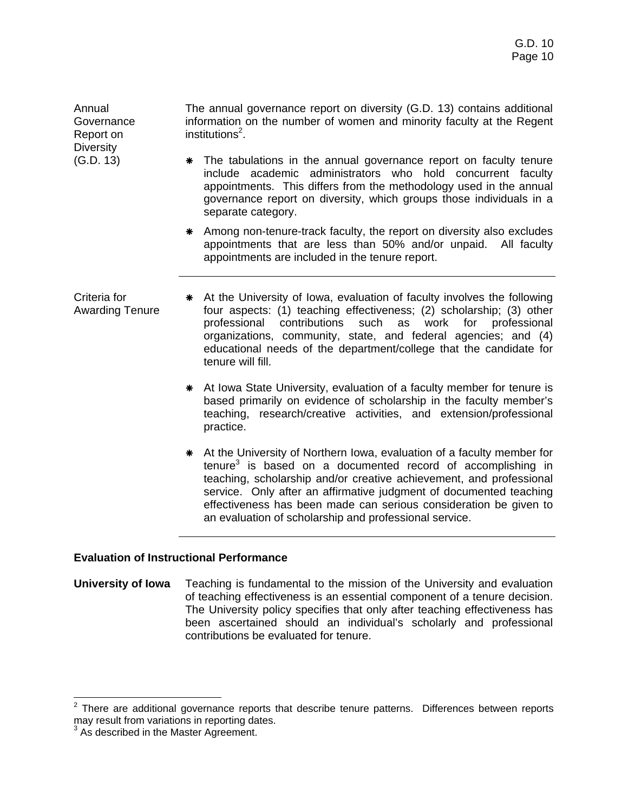**Governance** Report on **Diversity** The annual governance report on diversity (G.D. 13) contains additional information on the number of women and minority faculty at the Regent institutions<sup>2</sup>.

- \* The tabulations in the annual governance report on faculty tenure include academic administrators who hold concurrent faculty appointments. This differs from the methodology used in the annual governance report on diversity, which groups those individuals in a separate category.
- \* Among non-tenure-track faculty, the report on diversity also excludes appointments that are less than 50% and/or unpaid. All faculty appointments are included in the tenure report.
- Criteria for Awarding Tenure \* At the University of Iowa, evaluation of faculty involves the following four aspects: (1) teaching effectiveness; (2) scholarship; (3) other professional contributions such as work for professional organizations, community, state, and federal agencies; and (4) educational needs of the department/college that the candidate for tenure will fill.
	- \* At Iowa State University, evaluation of a faculty member for tenure is based primarily on evidence of scholarship in the faculty member's teaching, research/creative activities, and extension/professional practice.
	- \* At the University of Northern Iowa, evaluation of a faculty member for  $t$ enure $3$  is based on a documented record of accomplishing in teaching, scholarship and/or creative achievement, and professional service. Only after an affirmative judgment of documented teaching effectiveness has been made can serious consideration be given to an evaluation of scholarship and professional service.

### **Evaluation of Instructional Performance**

Annual

(G.D. 13)

**University of Iowa** Teaching is fundamental to the mission of the University and evaluation of teaching effectiveness is an essential component of a tenure decision. The University policy specifies that only after teaching effectiveness has been ascertained should an individual's scholarly and professional contributions be evaluated for tenure.

**ENECON CONCORDER**<br><sup>2</sup> There are additional governance reports that describe tenure patterns. Differences between reports may result from variations in reporting dates.

<sup>&</sup>lt;sup>3</sup> As described in the Master Agreement.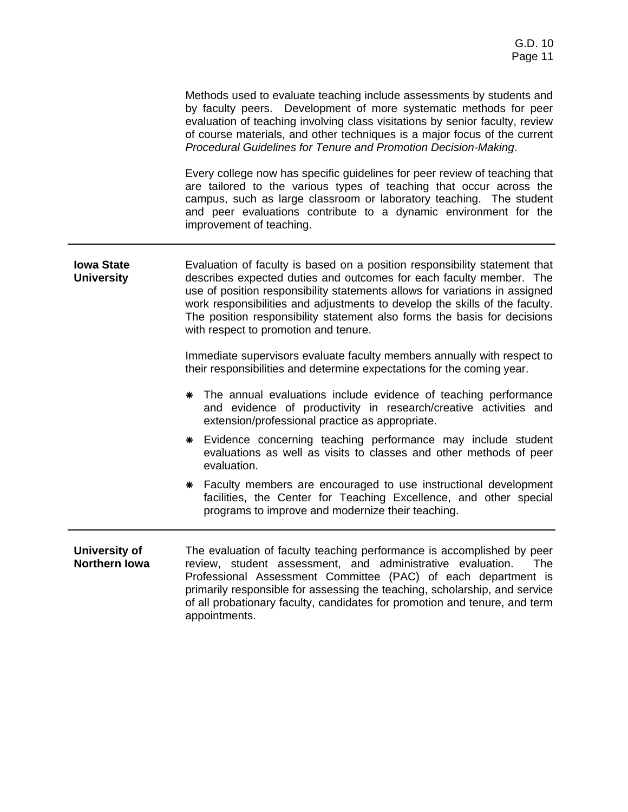| Methods used to evaluate teaching include assessments by students and        |
|------------------------------------------------------------------------------|
| by faculty peers. Development of more systematic methods for peer            |
| evaluation of teaching involving class visitations by senior faculty, review |
| of course materials, and other techniques is a major focus of the current    |
| Procedural Guidelines for Tenure and Promotion Decision-Making.              |

Every college now has specific guidelines for peer review of teaching that are tailored to the various types of teaching that occur across the campus, such as large classroom or laboratory teaching. The student and peer evaluations contribute to a dynamic environment for the improvement of teaching.

**Iowa State University**  Evaluation of faculty is based on a position responsibility statement that describes expected duties and outcomes for each faculty member. The use of position responsibility statements allows for variations in assigned work responsibilities and adjustments to develop the skills of the faculty. The position responsibility statement also forms the basis for decisions with respect to promotion and tenure.

> Immediate supervisors evaluate faculty members annually with respect to their responsibilities and determine expectations for the coming year.

- \* The annual evaluations include evidence of teaching performance and evidence of productivity in research/creative activities and extension/professional practice as appropriate.
- \* Evidence concerning teaching performance may include student evaluations as well as visits to classes and other methods of peer evaluation.
- \* Faculty members are encouraged to use instructional development facilities, the Center for Teaching Excellence, and other special programs to improve and modernize their teaching.
- **University of Northern Iowa**  The evaluation of faculty teaching performance is accomplished by peer review, student assessment, and administrative evaluation. The Professional Assessment Committee (PAC) of each department is primarily responsible for assessing the teaching, scholarship, and service of all probationary faculty, candidates for promotion and tenure, and term appointments.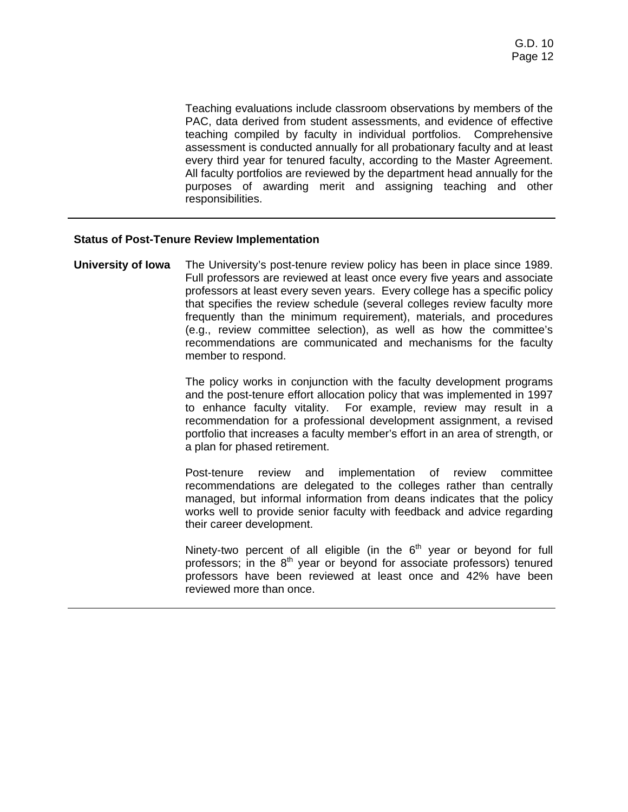Teaching evaluations include classroom observations by members of the PAC, data derived from student assessments, and evidence of effective teaching compiled by faculty in individual portfolios. Comprehensive assessment is conducted annually for all probationary faculty and at least every third year for tenured faculty, according to the Master Agreement. All faculty portfolios are reviewed by the department head annually for the purposes of awarding merit and assigning teaching and other responsibilities.

### **Status of Post-Tenure Review Implementation**

**University of Iowa** The University's post-tenure review policy has been in place since 1989. Full professors are reviewed at least once every five years and associate professors at least every seven years. Every college has a specific policy that specifies the review schedule (several colleges review faculty more frequently than the minimum requirement), materials, and procedures (e.g., review committee selection), as well as how the committee's recommendations are communicated and mechanisms for the faculty member to respond.

> The policy works in conjunction with the faculty development programs and the post-tenure effort allocation policy that was implemented in 1997 to enhance faculty vitality. For example, review may result in a recommendation for a professional development assignment, a revised portfolio that increases a faculty member's effort in an area of strength, or a plan for phased retirement.

> Post-tenure review and implementation of review committee recommendations are delegated to the colleges rather than centrally managed, but informal information from deans indicates that the policy works well to provide senior faculty with feedback and advice regarding their career development.

> Ninety-two percent of all eligible (in the  $6<sup>th</sup>$  year or beyond for full professors; in the  $8<sup>th</sup>$  year or beyond for associate professors) tenured professors have been reviewed at least once and 42% have been reviewed more than once.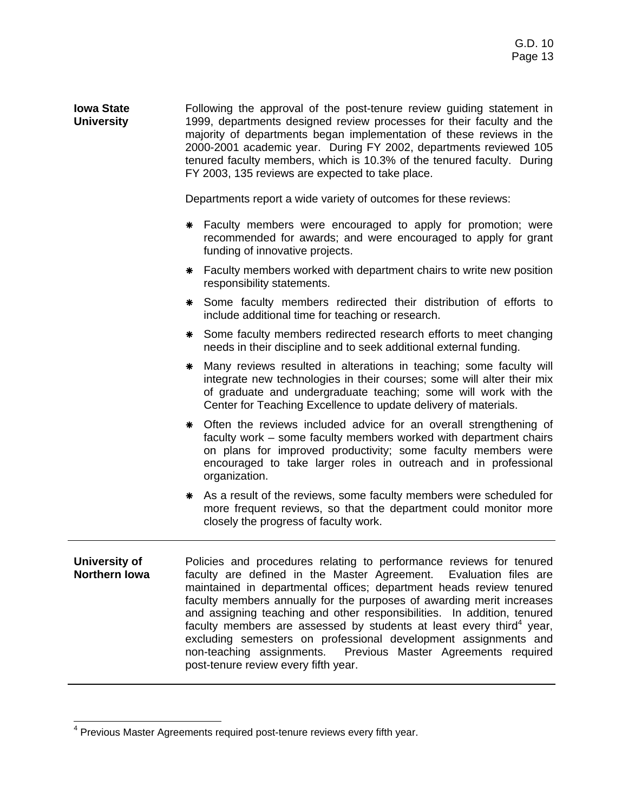**Iowa State University**  Following the approval of the post-tenure review guiding statement in 1999, departments designed review processes for their faculty and the majority of departments began implementation of these reviews in the 2000-2001 academic year. During FY 2002, departments reviewed 105 tenured faculty members, which is 10.3% of the tenured faculty. During FY 2003, 135 reviews are expected to take place.

Departments report a wide variety of outcomes for these reviews:

- \* Faculty members were encouraged to apply for promotion; were recommended for awards; and were encouraged to apply for grant funding of innovative projects.
- \* Faculty members worked with department chairs to write new position responsibility statements.
- \* Some faculty members redirected their distribution of efforts to include additional time for teaching or research.
- \* Some faculty members redirected research efforts to meet changing needs in their discipline and to seek additional external funding.
- \* Many reviews resulted in alterations in teaching; some faculty will integrate new technologies in their courses; some will alter their mix of graduate and undergraduate teaching; some will work with the Center for Teaching Excellence to update delivery of materials.
- \* Often the reviews included advice for an overall strengthening of faculty work – some faculty members worked with department chairs on plans for improved productivity; some faculty members were encouraged to take larger roles in outreach and in professional organization.
- \* As a result of the reviews, some faculty members were scheduled for more frequent reviews, so that the department could monitor more closely the progress of faculty work.
- **University of Northern Iowa**  Policies and procedures relating to performance reviews for tenured faculty are defined in the Master Agreement. Evaluation files are maintained in departmental offices; department heads review tenured faculty members annually for the purposes of awarding merit increases and assigning teaching and other responsibilities. In addition, tenured faculty members are assessed by students at least every third<sup>4</sup> year, excluding semesters on professional development assignments and non-teaching assignments. Previous Master Agreements required post-tenure review every fifth year.

 <sup>4</sup> Previous Master Agreements required post-tenure reviews every fifth year.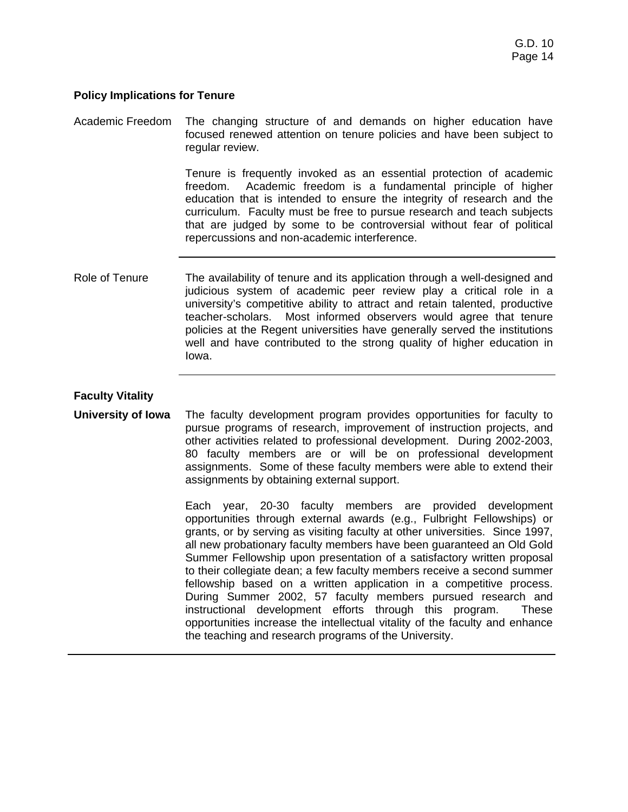### **Policy Implications for Tenure**

| Academic Freedom          | The changing structure of and demands on higher education have<br>focused renewed attention on tenure policies and have been subject to<br>regular review.                                                                                                                                                                                                                                                                                                                                                                                                                                 |
|---------------------------|--------------------------------------------------------------------------------------------------------------------------------------------------------------------------------------------------------------------------------------------------------------------------------------------------------------------------------------------------------------------------------------------------------------------------------------------------------------------------------------------------------------------------------------------------------------------------------------------|
|                           | Tenure is frequently invoked as an essential protection of academic<br>Academic freedom is a fundamental principle of higher<br>freedom.<br>education that is intended to ensure the integrity of research and the<br>curriculum. Faculty must be free to pursue research and teach subjects<br>that are judged by some to be controversial without fear of political<br>repercussions and non-academic interference.                                                                                                                                                                      |
| Role of Tenure            | The availability of tenure and its application through a well-designed and<br>judicious system of academic peer review play a critical role in a<br>university's competitive ability to attract and retain talented, productive<br>teacher-scholars. Most informed observers would agree that tenure<br>policies at the Regent universities have generally served the institutions<br>well and have contributed to the strong quality of higher education in<br>lowa.                                                                                                                      |
| <b>Faculty Vitality</b>   |                                                                                                                                                                                                                                                                                                                                                                                                                                                                                                                                                                                            |
| <b>University of Iowa</b> | The faculty development program provides opportunities for faculty to<br>pursue programs of research, improvement of instruction projects, and<br>other activities related to professional development. During 2002-2003,<br>80 faculty members are or will be on professional development<br>assignments. Some of these faculty members were able to extend their<br>assignments by obtaining external support.                                                                                                                                                                           |
|                           | year, 20-30 faculty members are provided development<br>Each<br>opportunities through external awards (e.g., Fulbright Fellowships) or<br>grants, or by serving as visiting faculty at other universities. Since 1997,<br>all new probationary faculty members have been guaranteed an Old Gold<br>Summer Fellowship upon presentation of a satisfactory written proposal<br>to their collegiate dean; a few faculty members receive a second summer<br>fellowship based on a written application in a competitive process.<br>During Summer 2002, 57 faculty members pursued research and |

instructional development efforts through this program. These opportunities increase the intellectual vitality of the faculty and enhance

the teaching and research programs of the University.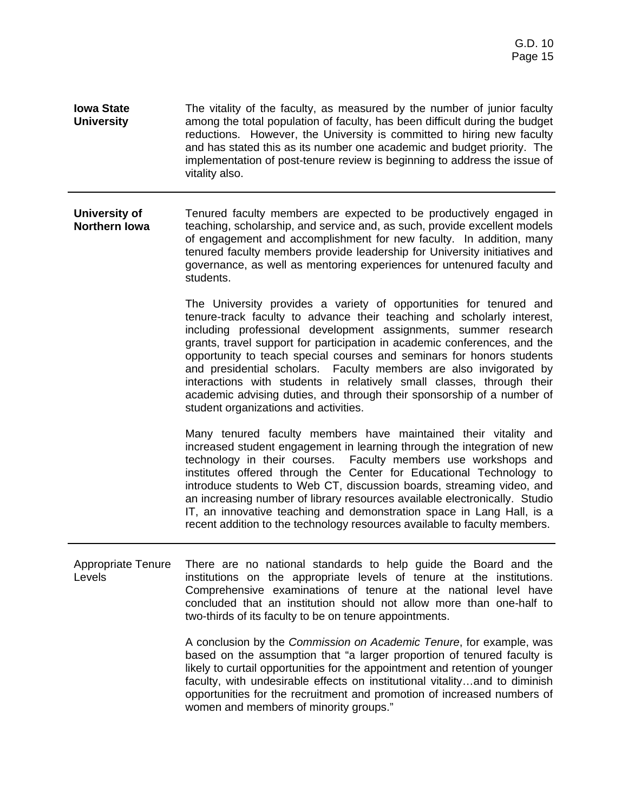**Iowa State University**  The vitality of the faculty, as measured by the number of junior faculty among the total population of faculty, has been difficult during the budget reductions. However, the University is committed to hiring new faculty and has stated this as its number one academic and budget priority. The implementation of post-tenure review is beginning to address the issue of vitality also.

**University of Northern Iowa**  Tenured faculty members are expected to be productively engaged in teaching, scholarship, and service and, as such, provide excellent models of engagement and accomplishment for new faculty. In addition, many tenured faculty members provide leadership for University initiatives and governance, as well as mentoring experiences for untenured faculty and students.

> The University provides a variety of opportunities for tenured and tenure-track faculty to advance their teaching and scholarly interest, including professional development assignments, summer research grants, travel support for participation in academic conferences, and the opportunity to teach special courses and seminars for honors students and presidential scholars. Faculty members are also invigorated by interactions with students in relatively small classes, through their academic advising duties, and through their sponsorship of a number of student organizations and activities.

> Many tenured faculty members have maintained their vitality and increased student engagement in learning through the integration of new technology in their courses. Faculty members use workshops and institutes offered through the Center for Educational Technology to introduce students to Web CT, discussion boards, streaming video, and an increasing number of library resources available electronically. Studio IT, an innovative teaching and demonstration space in Lang Hall, is a recent addition to the technology resources available to faculty members.

Appropriate Tenure Levels There are no national standards to help guide the Board and the institutions on the appropriate levels of tenure at the institutions. Comprehensive examinations of tenure at the national level have concluded that an institution should not allow more than one-half to two-thirds of its faculty to be on tenure appointments.

> A conclusion by the *Commission on Academic Tenure*, for example, was based on the assumption that "a larger proportion of tenured faculty is likely to curtail opportunities for the appointment and retention of younger faculty, with undesirable effects on institutional vitality…and to diminish opportunities for the recruitment and promotion of increased numbers of women and members of minority groups."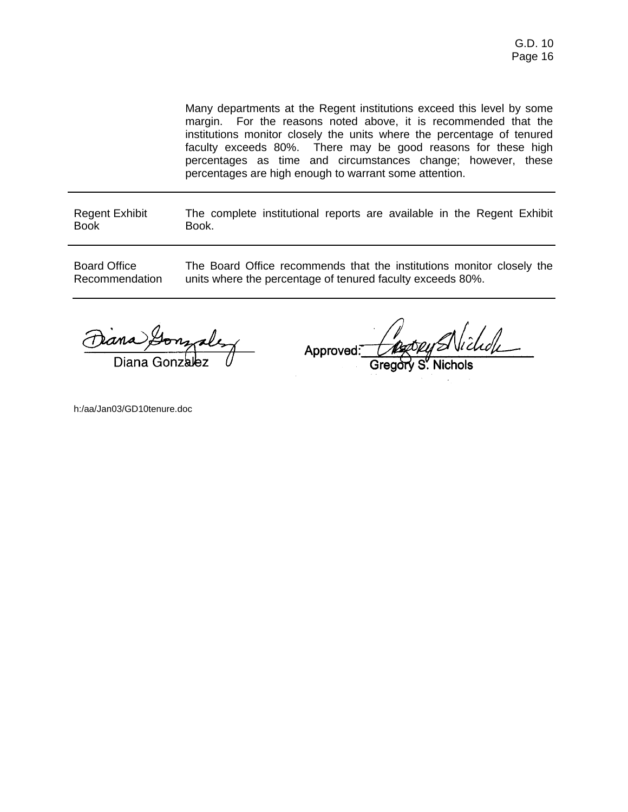Many departments at the Regent institutions exceed this level by some margin. For the reasons noted above, it is recommended that the institutions monitor closely the units where the percentage of tenured faculty exceeds 80%. There may be good reasons for these high percentages as time and circumstances change; however, these percentages are high enough to warrant some attention.

Regent Exhibit Book The complete institutional reports are available in the Regent Exhibit Book.

Board Office Recommendation The Board Office recommends that the institutions monitor closely the units where the percentage of tenured faculty exceeds 80%.

Diana Gonzalez

Approved:

h:/aa/Jan03/GD10tenure.doc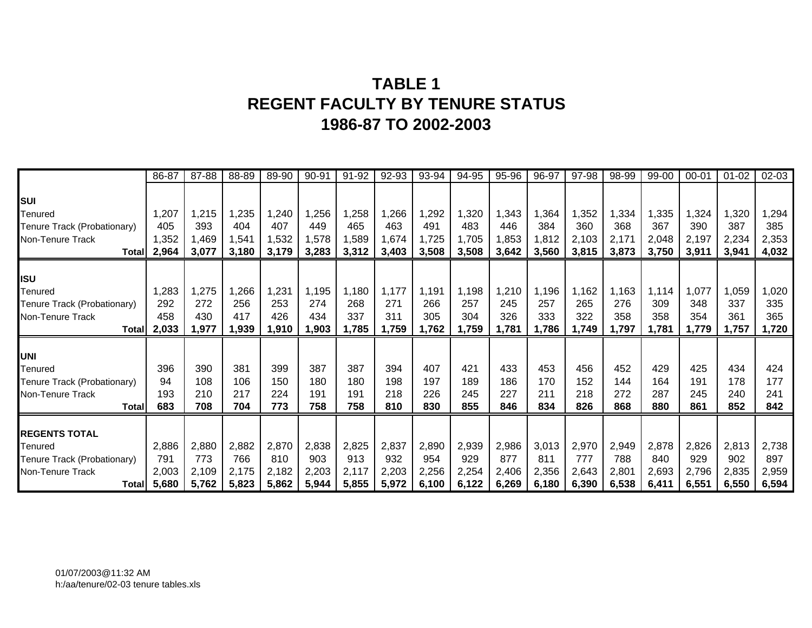# **TABLE 1 REGENT FACULTY BY TENURE STATUS 1986-87 TO 2002-2003**

|                             | 86-87 | 87-88 | 88-89 | 89-90 | 90-91 | 91-92 | 92-93 | 93-94 | 94-95 | 95-96 | 96-97 | 97-98 | 98-99 | 99-00 | 00-01 | $01 - 02$ | $02 - 03$ |
|-----------------------------|-------|-------|-------|-------|-------|-------|-------|-------|-------|-------|-------|-------|-------|-------|-------|-----------|-----------|
|                             |       |       |       |       |       |       |       |       |       |       |       |       |       |       |       |           |           |
| SUI                         |       |       |       |       |       |       |       |       |       |       |       |       |       |       |       |           |           |
| Tenured                     | 1,207 | 1,215 | 1,235 | 1,240 | 1,256 | 1,258 | ,266  | 1,292 | 1,320 | 1,343 | 1,364 | 1,352 | 1,334 | 1,335 | 1,324 | ,320      | 1,294     |
| Tenure Track (Probationary) | 405   | 393   | 404   | 407   | 449   | 465   | 463   | 491   | 483   | 446   | 384   | 360   | 368   | 367   | 390   | 387       | 385       |
| Non-Tenure Track            | 1,352 | 1,469 | 1,541 | 1,532 | 1,578 | 1,589 | ,674  | 1,725 | 1,705 | 1,853 | 1,812 | 2,103 | 2,171 | 2,048 | 2,197 | 2,234     | 2,353     |
| <b>Total</b>                | 2,964 | 3,077 | 3,180 | 3,179 | 3,283 | 3,312 | 3,403 | 3,508 | 3,508 | 3,642 | 3,560 | 3,815 | 3,873 | 3,750 | 3,911 | 3,941     | 4,032     |
|                             |       |       |       |       |       |       |       |       |       |       |       |       |       |       |       |           |           |
| <b>ISU</b>                  |       |       |       |       |       |       |       |       |       |       |       |       |       |       |       |           |           |
| Tenured                     | 1,283 | 1,275 | ,266  | 1,231 | 1,195 | 1,180 | 1,177 | 1,191 | 1,198 | 1,210 | 1,196 | 1,162 | 1,163 | 1,114 | 1,077 | 1,059     | 1,020     |
| Tenure Track (Probationary) | 292   | 272   | 256   | 253   | 274   | 268   | 271   | 266   | 257   | 245   | 257   | 265   | 276   | 309   | 348   | 337       | 335       |
| Non-Tenure Track            | 458   | 430   | 417   | 426   | 434   | 337   | 311   | 305   | 304   | 326   | 333   | 322   | 358   | 358   | 354   | 361       | 365       |
| Total                       | 2,033 | 1,977 | 1,939 | 1,910 | 1,903 | 1,785 | 1,759 | 1,762 | 1,759 | 1,781 | 1,786 | 1,749 | 1,797 | 1,781 | 1,779 | 1,757     | 1,720     |
|                             |       |       |       |       |       |       |       |       |       |       |       |       |       |       |       |           |           |
| <b>UNI</b>                  |       |       |       |       |       |       |       |       |       |       |       |       |       |       |       |           |           |
| Tenured                     | 396   | 390   | 381   | 399   | 387   | 387   | 394   | 407   | 421   | 433   | 453   | 456   | 452   | 429   | 425   | 434       | 424       |
| Tenure Track (Probationary) | 94    | 108   | 106   | 150   | 180   | 180   | 198   | 197   | 189   | 186   | 170   | 152   | 144   | 164   | 191   | 178       | 177       |
| Non-Tenure Track            | 193   | 210   | 217   | 224   | 191   | 191   | 218   | 226   | 245   | 227   | 211   | 218   | 272   | 287   | 245   | 240       | 241       |
| <b>Total</b>                | 683   | 708   | 704   | 773   | 758   | 758   | 810   | 830   | 855   | 846   | 834   | 826   | 868   | 880   | 861   | 852       | 842       |
|                             |       |       |       |       |       |       |       |       |       |       |       |       |       |       |       |           |           |
| <b>REGENTS TOTAL</b>        |       |       |       |       |       |       |       |       |       |       |       |       |       |       |       |           |           |
| Tenured                     | 2,886 | 2,880 | 2,882 | 2,870 | 2,838 | 2,825 | 2,837 | 2,890 | 2,939 | 2,986 | 3,013 | 2,970 | 2,949 | 2,878 | 2,826 | 2,813     | 2,738     |
| Tenure Track (Probationary) | 791   | 773   | 766   | 810   | 903   | 913   | 932   | 954   | 929   | 877   | 811   | 777   | 788   | 840   | 929   | 902       | 897       |
| Non-Tenure Track            | 2,003 | 2,109 | 2,175 | 2,182 | 2,203 | 2,117 | 2,203 | 2,256 | 2,254 | 2,406 | 2,356 | 2,643 | 2,801 | 2,693 | 2,796 | 2,835     | 2,959     |
| Totall                      | 5,680 | 5,762 | 5,823 | 5,862 | 5,944 | 5,855 | 5,972 | 6,100 | 6,122 | 6,269 | 6,180 | 6,390 | 6,538 | 6,411 | 6,551 | 6,550     | 6,594     |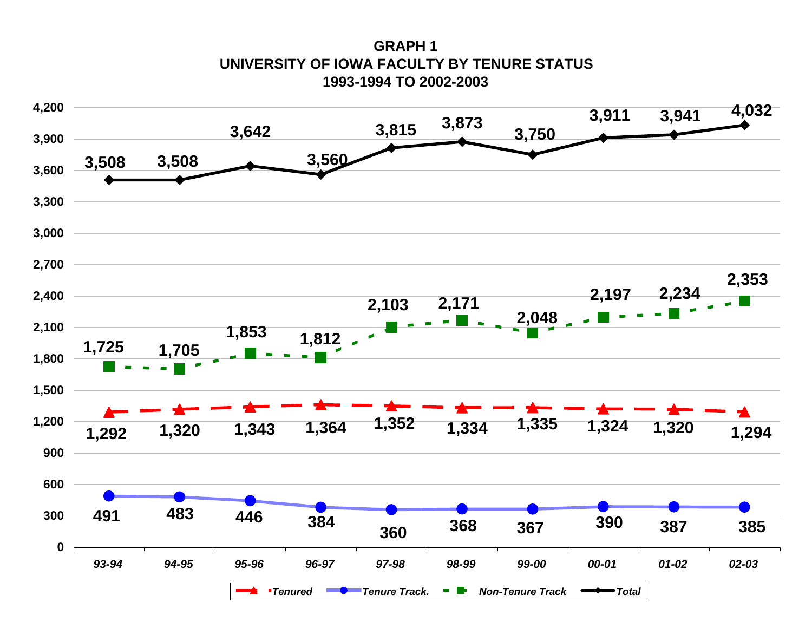**GRAPH 1UNIVERSITY OF IOWA FACULTY BY TENURE STATUS 1993-1994 TO 2002-2003**

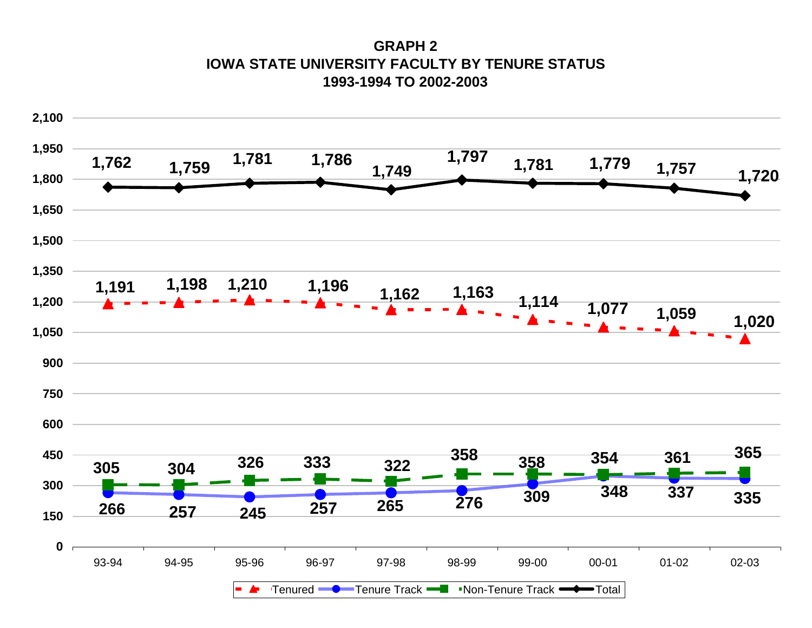**GRAPH 2IOWA STATE UNIVERSITY FACULTY BY TENURE STATUS1993-1994 TO 2002-2003**

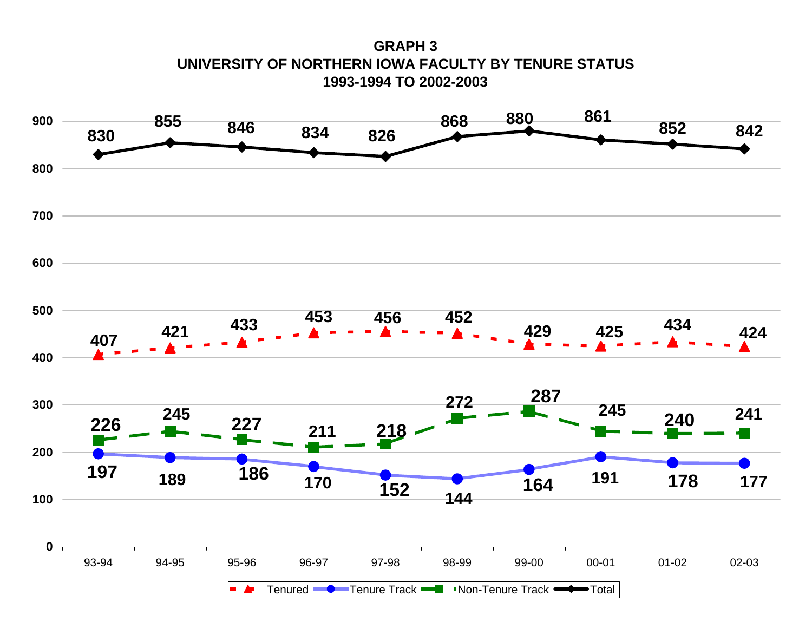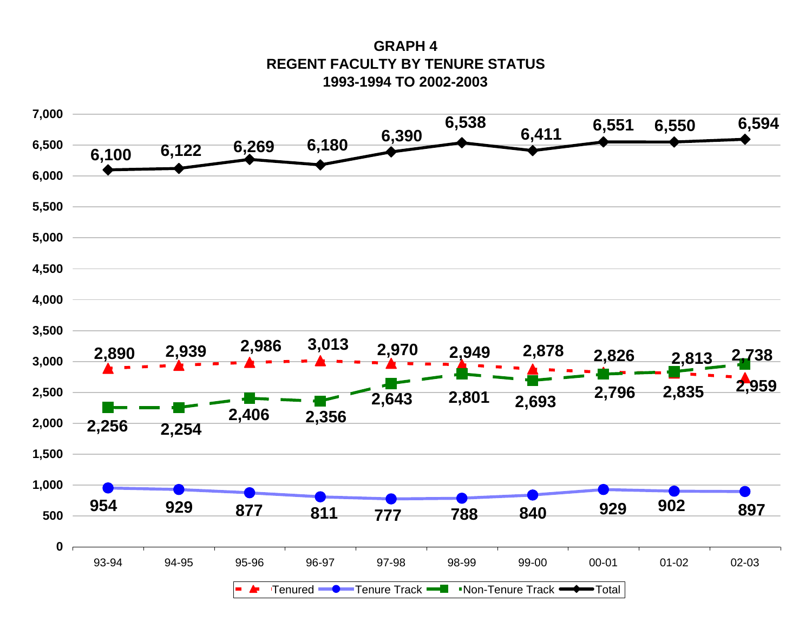**GRAPH 4REGENT FACULTY BY TENURE STATUS 1993-1994 TO 2002-2003**

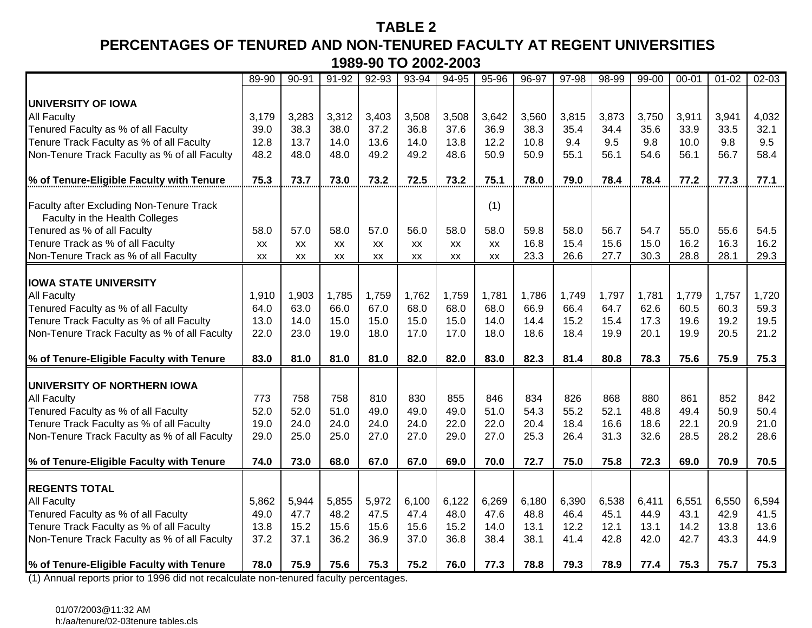### **TABLE 2**

# **PERCENTAGES OF TENURED AND NON-TENURED FACULTY AT REGENT UNIVERSITIES1989-90 TO 2002-2003**

|                                                                                   | 89-90 | $90 - 91$ | $91 - 92$ | $92 - 93$ | 93-94 | 94-95     | 95-96 | $96 - 97$ | 97-98 | 98-99 | $99 - 00$ | $00 - 01$ | $01 - 02$ | $02 - 03$ |
|-----------------------------------------------------------------------------------|-------|-----------|-----------|-----------|-------|-----------|-------|-----------|-------|-------|-----------|-----------|-----------|-----------|
|                                                                                   |       |           |           |           |       |           |       |           |       |       |           |           |           |           |
| <b>UNIVERSITY OF IOWA</b>                                                         |       |           |           |           |       |           |       |           |       |       |           |           |           |           |
| All Faculty                                                                       | 3,179 | 3,283     | 3,312     | 3,403     | 3,508 | 3,508     | 3,642 | 3,560     | 3,815 | 3,873 | 3,750     | 3,911     | 3,941     | 4,032     |
| Tenured Faculty as % of all Faculty                                               | 39.0  | 38.3      | 38.0      | 37.2      | 36.8  | 37.6      | 36.9  | 38.3      | 35.4  | 34.4  | 35.6      | 33.9      | 33.5      | 32.1      |
| Tenure Track Faculty as % of all Faculty                                          | 12.8  | 13.7      | 14.0      | 13.6      | 14.0  | 13.8      | 12.2  | 10.8      | 9.4   | 9.5   | 9.8       | 10.0      | 9.8       | 9.5       |
| Non-Tenure Track Faculty as % of all Faculty                                      | 48.2  | 48.0      | 48.0      | 49.2      | 49.2  | 48.6      | 50.9  | 50.9      | 55.1  | 56.1  | 54.6      | 56.1      | 56.7      | 58.4      |
| % of Tenure-Eligible Faculty with Tenure                                          | 75.3  | 73.7      | 73.0      | 73.2      | 72.5  | 73.2      | 75.1  | 78.0      | 79.0  | 78.4  | 78.4      | 77.2      | 77.3      | 77.1      |
|                                                                                   |       |           |           |           |       |           |       |           |       |       |           |           |           |           |
| <b>Faculty after Excluding Non-Tenure Track</b><br>Faculty in the Health Colleges |       |           |           |           |       |           | (1)   |           |       |       |           |           |           |           |
| Tenured as % of all Faculty                                                       | 58.0  | 57.0      | 58.0      | 57.0      | 56.0  | 58.0      | 58.0  | 59.8      | 58.0  | 56.7  | 54.7      | 55.0      | 55.6      | 54.5      |
| Tenure Track as % of all Faculty                                                  | XX    | XX        | <b>XX</b> | <b>XX</b> | XX    | <b>XX</b> | XX    | 16.8      | 15.4  | 15.6  | 15.0      | 16.2      | 16.3      | 16.2      |
| Non-Tenure Track as % of all Faculty                                              | XX    | XX        | <b>XX</b> | <b>XX</b> | XX    | XX        | XX    | 23.3      | 26.6  | 27.7  | 30.3      | 28.8      | 28.1      | 29.3      |
|                                                                                   |       |           |           |           |       |           |       |           |       |       |           |           |           |           |
| <b>IOWA STATE UNIVERSITY</b>                                                      |       |           |           |           |       |           |       |           |       |       |           |           |           |           |
| <b>All Faculty</b>                                                                | 1,910 | 1,903     | 1,785     | 1,759     | 1,762 | 1,759     | 1,781 | 1,786     | 1,749 | 1,797 | 1,781     | 1,779     | 1,757     | 1,720     |
| Tenured Faculty as % of all Faculty                                               | 64.0  | 63.0      | 66.0      | 67.0      | 68.0  | 68.0      | 68.0  | 66.9      | 66.4  | 64.7  | 62.6      | 60.5      | 60.3      | 59.3      |
| Tenure Track Faculty as % of all Faculty                                          | 13.0  | 14.0      | 15.0      | 15.0      | 15.0  | 15.0      | 14.0  | 14.4      | 15.2  | 15.4  | 17.3      | 19.6      | 19.2      | 19.5      |
| Non-Tenure Track Faculty as % of all Faculty                                      | 22.0  | 23.0      | 19.0      | 18.0      | 17.0  | 17.0      | 18.0  | 18.6      | 18.4  | 19.9  | 20.1      | 19.9      | 20.5      | 21.2      |
| % of Tenure-Eligible Faculty with Tenure                                          | 83.0  | 81.0      | 81.0      | 81.0      | 82.0  | 82.0      | 83.0  | 82.3      | 81.4  | 80.8  | 78.3      | 75.6      | 75.9      | 75.3      |
|                                                                                   |       |           |           |           |       |           |       |           |       |       |           |           |           |           |
| UNIVERSITY OF NORTHERN IOWA                                                       |       |           |           |           |       |           |       |           |       |       |           |           |           |           |
| <b>All Faculty</b>                                                                | 773   | 758       | 758       | 810       | 830   | 855       | 846   | 834       | 826   | 868   | 880       | 861       | 852       | 842       |
| Tenured Faculty as % of all Faculty                                               | 52.0  | 52.0      | 51.0      | 49.0      | 49.0  | 49.0      | 51.0  | 54.3      | 55.2  | 52.1  | 48.8      | 49.4      | 50.9      | 50.4      |
| Tenure Track Faculty as % of all Faculty                                          | 19.0  | 24.0      | 24.0      | 24.0      | 24.0  | 22.0      | 22.0  | 20.4      | 18.4  | 16.6  | 18.6      | 22.1      | 20.9      | 21.0      |
| Non-Tenure Track Faculty as % of all Faculty                                      | 29.0  | 25.0      | 25.0      | 27.0      | 27.0  | 29.0      | 27.0  | 25.3      | 26.4  | 31.3  | 32.6      | 28.5      | 28.2      | 28.6      |
| % of Tenure-Eligible Faculty with Tenure                                          | 74.0  | 73.0      | 68.0      | 67.0      | 67.0  | 69.0      | 70.0  | 72.7      | 75.0  | 75.8  | 72.3      | 69.0      | 70.9      | 70.5      |
|                                                                                   |       |           |           |           |       |           |       |           |       |       |           |           |           |           |
| <b>REGENTS TOTAL</b>                                                              |       |           |           |           |       |           |       |           |       |       |           |           |           |           |
| <b>All Faculty</b>                                                                | 5,862 | 5,944     | 5,855     | 5,972     | 6,100 | 6,122     | 6,269 | 6,180     | 6,390 | 6,538 | 6,411     | 6,551     | 6,550     | 6,594     |
| Tenured Faculty as % of all Faculty                                               | 49.0  | 47.7      | 48.2      | 47.5      | 47.4  | 48.0      | 47.6  | 48.8      | 46.4  | 45.1  | 44.9      | 43.1      | 42.9      | 41.5      |
| Tenure Track Faculty as % of all Faculty                                          | 13.8  | 15.2      | 15.6      | 15.6      | 15.6  | 15.2      | 14.0  | 13.1      | 12.2  | 12.1  | 13.1      | 14.2      | 13.8      | 13.6      |
| Non-Tenure Track Faculty as % of all Faculty                                      | 37.2  | 37.1      | 36.2      | 36.9      | 37.0  | 36.8      | 38.4  | 38.1      | 41.4  | 42.8  | 42.0      | 42.7      | 43.3      | 44.9      |
| % of Tenure-Eligible Faculty with Tenure                                          | 78.0  | 75.9      | 75.6      | 75.3      | 75.2  | 76.0      | 77.3  | 78.8      | 79.3  | 78.9  | 77.4      | 75.3      | 75.7      | 75.3      |

(1) Annual reports prior to 1996 did not recalculate non-tenured faculty percentages.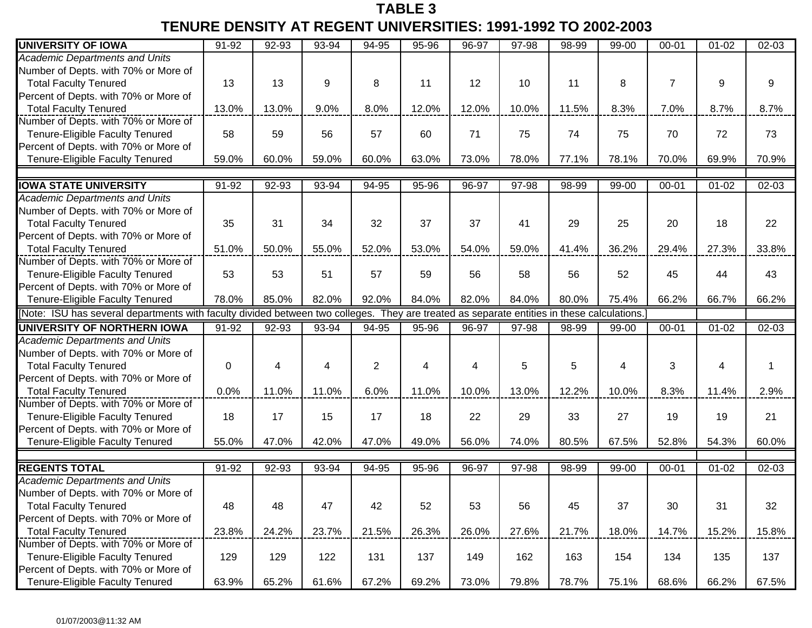## **TABLE 3 TENURE DENSITY AT REGENT UNIVERSITIES: 1991-1992 TO 2002-2003**

| <b>UNIVERSITY OF IOWA</b>                                                                                                                 | $91 - 92$ | $92 - 93$ | 93-94 | $94 - 95$      | 95-96 | 96-97 | 97-98 | 98-99 | $99 - 00$ | $00 - 01$      | $01 - 02$ | $02 - 03$ |
|-------------------------------------------------------------------------------------------------------------------------------------------|-----------|-----------|-------|----------------|-------|-------|-------|-------|-----------|----------------|-----------|-----------|
| <b>Academic Departments and Units</b>                                                                                                     |           |           |       |                |       |       |       |       |           |                |           |           |
| Number of Depts. with 70% or More of                                                                                                      |           |           |       |                |       |       |       |       |           |                |           |           |
| <b>Total Faculty Tenured</b>                                                                                                              | 13        | 13        | 9     | 8              | 11    | 12    | 10    | 11    | 8         | $\overline{7}$ | 9         | 9         |
| Percent of Depts. with 70% or More of                                                                                                     |           |           |       |                |       |       |       |       |           |                |           |           |
| <b>Total Faculty Tenured</b>                                                                                                              | 13.0%     | 13.0%     | 9.0%  | 8.0%           | 12.0% | 12.0% | 10.0% | 11.5% | 8.3%      | 7.0%           | 8.7%      | 8.7%      |
| Number of Depts. with 70% or More of                                                                                                      |           |           |       |                |       |       |       |       |           |                |           |           |
| Tenure-Eligible Faculty Tenured                                                                                                           | 58        | 59        | 56    | 57             | 60    | 71    | 75    | 74    | 75        | 70             | 72        | 73        |
| Percent of Depts. with 70% or More of                                                                                                     |           |           |       |                |       |       |       |       |           |                |           |           |
| Tenure-Eligible Faculty Tenured                                                                                                           | 59.0%     | 60.0%     | 59.0% | 60.0%          | 63.0% | 73.0% | 78.0% | 77.1% | 78.1%     | 70.0%          | 69.9%     | 70.9%     |
|                                                                                                                                           |           |           |       |                |       |       |       |       |           |                |           |           |
| <b>IOWA STATE UNIVERSITY</b>                                                                                                              | 91-92     | 92-93     | 93-94 | 94-95          | 95-96 | 96-97 | 97-98 | 98-99 | 99-00     | $00 - 01$      | $01 - 02$ | 02-03     |
| <b>Academic Departments and Units</b>                                                                                                     |           |           |       |                |       |       |       |       |           |                |           |           |
| Number of Depts. with 70% or More of                                                                                                      |           |           |       |                |       |       |       |       |           |                |           |           |
| <b>Total Faculty Tenured</b>                                                                                                              | 35        | 31        | 34    | 32             | 37    | 37    | 41    | 29    | 25        | 20             | 18        | 22        |
| Percent of Depts. with 70% or More of                                                                                                     |           |           |       |                |       |       |       |       |           |                |           |           |
| <b>Total Faculty Tenured</b>                                                                                                              | 51.0%     | 50.0%     | 55.0% | 52.0%          | 53.0% | 54.0% | 59.0% | 41.4% | 36.2%     | 29.4%          | 27.3%     | 33.8%     |
| Number of Depts. with 70% or More of                                                                                                      |           |           |       |                |       |       |       |       |           |                |           |           |
| Tenure-Eligible Faculty Tenured                                                                                                           | 53        | 53        | 51    | 57             | 59    | 56    | 58    | 56    | 52        | 45             | 44        | 43        |
| Percent of Depts. with 70% or More of                                                                                                     |           |           |       |                |       |       |       |       |           |                |           |           |
| Tenure-Eligible Faculty Tenured                                                                                                           | 78.0%     | 85.0%     | 82.0% | 92.0%          | 84.0% | 82.0% | 84.0% | 80.0% | 75.4%     | 66.2%          | 66.7%     | 66.2%     |
| Note: ISU has several departments with faculty divided between two colleges. They are treated as separate entities in these calculations. |           |           |       |                |       |       |       |       |           |                |           |           |
| UNIVERSITY OF NORTHERN IOWA                                                                                                               | 91-92     | 92-93     | 93-94 | 94-95          | 95-96 | 96-97 | 97-98 | 98-99 | 99-00     | $00 - 01$      | $01 - 02$ | $02 - 03$ |
| <b>Academic Departments and Units</b>                                                                                                     |           |           |       |                |       |       |       |       |           |                |           |           |
| Number of Depts. with 70% or More of                                                                                                      |           |           |       |                |       |       |       |       |           |                |           |           |
| <b>Total Faculty Tenured</b>                                                                                                              | 0         | 4         | 4     | $\overline{2}$ | 4     | 4     | 5     | 5     | 4         | 3              | 4         | -1        |
| Percent of Depts. with 70% or More of                                                                                                     |           |           |       |                |       |       |       |       |           |                |           |           |
| <b>Total Faculty Tenured</b>                                                                                                              | 0.0%      | 11.0%     | 11.0% | 6.0%           | 11.0% | 10.0% | 13.0% | 12.2% | 10.0%     | 8.3%           | 11.4%     | 2.9%      |
| Number of Depts. with 70% or More of                                                                                                      |           |           |       |                |       |       |       |       |           |                |           |           |
| Tenure-Eligible Faculty Tenured                                                                                                           | 18        | 17        | 15    | 17             | 18    | 22    | 29    | 33    | 27        | 19             | 19        | 21        |
| Percent of Depts. with 70% or More of                                                                                                     |           |           |       |                |       |       |       |       |           |                |           |           |
| Tenure-Eligible Faculty Tenured                                                                                                           | 55.0%     | 47.0%     | 42.0% | 47.0%          | 49.0% | 56.0% | 74.0% | 80.5% | 67.5%     | 52.8%          | 54.3%     | 60.0%     |
|                                                                                                                                           |           |           |       |                |       |       |       |       |           |                |           |           |
| <b>REGENTS TOTAL</b>                                                                                                                      | 91-92     | 92-93     | 93-94 | 94-95          | 95-96 | 96-97 | 97-98 | 98-99 | 99-00     | $00 - 01$      | $01 - 02$ | 02-03     |
| <b>Academic Departments and Units</b>                                                                                                     |           |           |       |                |       |       |       |       |           |                |           |           |
| Number of Depts. with 70% or More of                                                                                                      |           |           |       |                |       |       |       |       |           |                |           |           |
| <b>Total Faculty Tenured</b>                                                                                                              | 48        | 48        | 47    | 42             | 52    | 53    | 56    | 45    | 37        | 30             | 31        | 32        |
| Percent of Depts. with 70% or More of                                                                                                     |           |           |       |                |       |       |       |       |           |                |           |           |
| <b>Total Faculty Tenured</b>                                                                                                              | 23.8%     | 24.2%     | 23.7% | 21.5%          | 26.3% | 26.0% | 27.6% | 21.7% | 18.0%     | 14.7%          | 15.2%     | 15.8%     |
| Number of Depts. with 70% or More of                                                                                                      |           |           |       |                |       |       |       |       |           |                |           |           |
| Tenure-Eligible Faculty Tenured                                                                                                           | 129       | 129       | 122   | 131            | 137   | 149   | 162   | 163   | 154       | 134            | 135       | 137       |
| Percent of Depts. with 70% or More of                                                                                                     |           |           |       |                |       |       |       |       |           |                |           |           |
| Tenure-Eligible Faculty Tenured                                                                                                           | 63.9%     | 65.2%     | 61.6% | 67.2%          | 69.2% | 73.0% | 79.8% | 78.7% | 75.1%     | 68.6%          | 66.2%     | 67.5%     |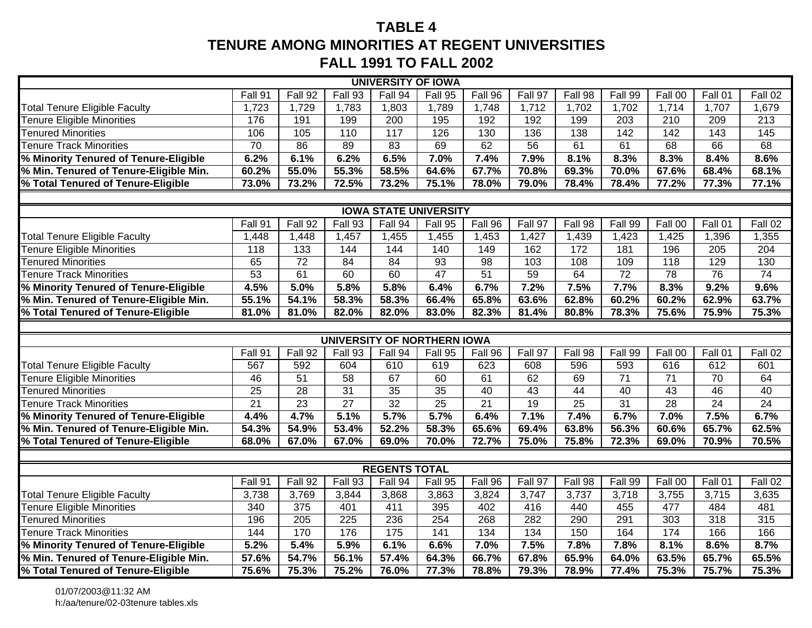# **TABLE 4TENURE AMONG MINORITIES AT REGENT UNIVERSITIES FALL 1991 TO FALL 2002**

| <b>UNIVERSITY OF IOWA</b>              |                              |                  |                  |                   |                 |                 |         |                 |                 |                  |                  |                   |  |
|----------------------------------------|------------------------------|------------------|------------------|-------------------|-----------------|-----------------|---------|-----------------|-----------------|------------------|------------------|-------------------|--|
|                                        | Fall 91                      | Fall 92          | Fall 93          | Fall 94           | Fall 95         | Fall 96         | Fall 97 | Fall 98         | Fall 99         | Fall 00          | Fall 01          | Fall 02           |  |
| <b>Total Tenure Eligible Faculty</b>   | 1,723                        | 1,729            | 1,783            | 1,803             | 1,789           | 1,748           | 1,712   | 1,702           | 1,702           | 1,714            | 1,707            | 1,679             |  |
| <b>Fenure Eligible Minorities</b>      | 176                          | 191              | 199              | 200               | 195             | 192             | 192     | 199             | 203             | $\overline{210}$ | 209              | $\overline{213}$  |  |
| <b>Tenured Minorities</b>              | 106                          | 105              | 110              | 117               | 126             | 130             | 136     | 138             | 142             | 142              | $\overline{143}$ | $\frac{145}{145}$ |  |
| <b>Tenure Track Minorities</b>         | $\overline{70}$              | 86               | 89               | 83                | 69              | 62              | 56      | 61              | 61              | 68               | 66               | 68                |  |
| % Minority Tenured of Tenure-Eligible  | 6.2%                         | 6.1%             | 6.2%             | 6.5%              | 7.0%            | 7.4%            | 7.9%    | 8.1%            | 8.3%            | 8.3%             | 8.4%             | 8.6%              |  |
| % Min. Tenured of Tenure-Eligible Min. | 60.2%                        | 55.0%            | 55.3%            | 58.5%             | 64.6%           | 67.7%           | 70.8%   | 69.3%           | 70.0%           | 67.6%            | 68.4%            | 68.1%             |  |
| % Total Tenured of Tenure-Eligible     | 73.0%                        | 73.2%            | 72.5%            | 73.2%             | 75.1%           | 78.0%           | 79.0%   | 78.4%           | 78.4%           | 77.2%            | 77.3%            | 77.1%             |  |
|                                        |                              |                  |                  |                   |                 |                 |         |                 |                 |                  |                  |                   |  |
|                                        | <b>IOWA STATE UNIVERSITY</b> |                  |                  |                   |                 |                 |         |                 |                 |                  |                  |                   |  |
|                                        | Fall 91                      | Fall 92          | Fall 93          | Fall 94           | Fall 95         | Fall 96         | Fall 97 | Fall 98         | Fall 99         | Fall 00          | Fall 01          | Fall 02           |  |
| <b>Total Tenure Eligible Faculty</b>   | 1,448                        | 1,448            | 1,457            | 1,455             | 1,455           | 1,453           | 1,427   | 1,439           | 1,423           | 1,425            | 1,396            | 1,355             |  |
| <b>Fenure Eligible Minorities</b>      | 118                          | 133              | 144              | 144               | 140             | 149             | 162     | 172             | 181             | 196              | 205              | 204               |  |
| <b>Tenured Minorities</b>              | 65                           | $\overline{72}$  | 84               | $\overline{84}$   | 93              | $\overline{98}$ | 103     | 108             | 109             | 118              | 129              | 130               |  |
| <b>Tenure Track Minorities</b>         | 53                           | 61               | 60               | 60                | $\overline{47}$ | 51              | 59      | 64              | $\overline{72}$ | $\overline{78}$  | $\overline{76}$  | 74                |  |
| % Minority Tenured of Tenure-Eligible  | 4.5%                         | 5.0%             | 5.8%             | 5.8%              | 6.4%            | 6.7%            | 7.2%    | 7.5%            | 7.7%            | 8.3%             | 9.2%             | 9.6%              |  |
| % Min. Tenured of Tenure-Eligible Min. | 55.1%                        | 54.1%            | 58.3%            | 58.3%             | 66.4%           | 65.8%           | 63.6%   | 62.8%           | 60.2%           | 60.2%            | 62.9%            | 63.7%             |  |
| % Total Tenured of Tenure-Eligible     | 81.0%                        | 81.0%            | 82.0%            | 82.0%             | 83.0%           | 82.3%           | 81.4%   | 80.8%           | 78.3%           | 75.6%            | 75.9%            | 75.3%             |  |
|                                        |                              |                  |                  |                   |                 |                 |         |                 |                 |                  |                  |                   |  |
| <b>UNIVERSITY OF NORTHERN IOWA</b>     |                              |                  |                  |                   |                 |                 |         |                 |                 |                  |                  |                   |  |
|                                        | Fall 91                      | Fall $92$        | Fall 93          | Fall 94           | Fall 95         | Fall 96         | Fall 97 | Fall 98         | Fall 99         | Fall 00          | Fall 01          | Fall 02           |  |
| <b>Total Tenure Eligible Faculty</b>   | 567                          | 592              | 604              | 610               | 619             | 623             | 608     | 596             | 593             | 616              | 612              | 601               |  |
| <b>Fenure Eligible Minorities</b>      | 46                           | $\overline{51}$  | 58               | 67                | 60              | 61              | 62      | 69              | 71              | 71               | 70               | 64                |  |
| <b>Tenured Minorities</b>              | 25                           | 28               | 31               | 35                | 35              | 40              | 43      | 44              | 40              | 43               | 46               | 40                |  |
| <b>Tenure Track Minorities</b>         | 21                           | 23               | 27               | $\overline{32}$   | $\overline{25}$ | $\overline{21}$ | 19      | $\overline{25}$ | $\overline{31}$ | $\overline{28}$  | 24               | 24                |  |
| % Minority Tenured of Tenure-Eligible  | 4.4%                         | 4.7%             | 5.1%             | 5.7%              | 5.7%            | 6.4%            | 7.1%    | 7.4%            | 6.7%            | 7.0%             | 7.5%             | 6.7%              |  |
| % Min. Tenured of Tenure-Eligible Min. | 54.3%                        | 54.9%            | 53.4%            | 52.2%             | 58.3%           | 65.6%           | 69.4%   | 63.8%           | 56.3%           | 60.6%            | 65.7%            | 62.5%             |  |
| % Total Tenured of Tenure-Eligible     | 68.0%                        | 67.0%            | 67.0%            | 69.0%             | 70.0%           | 72.7%           | 75.0%   | 75.8%           | 72.3%           | 69.0%            | 70.9%            | 70.5%             |  |
|                                        |                              |                  |                  |                   |                 |                 |         |                 |                 |                  |                  |                   |  |
|                                        | <b>REGENTS TOTAL</b>         |                  |                  |                   |                 |                 |         |                 |                 |                  |                  |                   |  |
|                                        | Fall 91                      | Fall 92          | Fall 93          | Fall 94           | Fall 95         | Fall 96         | Fall 97 | Fall 98         | Fall 99         | Fall 00          | Fall 01          | Fall 02           |  |
| <b>Total Tenure Eligible Faculty</b>   | 3,738                        | 3,769            | 3,844            | 3,868             | 3,863           | 3,824           | 3,747   | 3,737           | 3,718           | 3,755            | 3,715            | 3,635             |  |
| <b>Fenure Eligible Minorities</b>      | 340                          | 375              | 401              | 411               | 395             | 402             | 416     | 440             | 455             | 477              | 484              | 481               |  |
| <b>Tenured Minorities</b>              | 196                          | $\overline{205}$ | $\overline{225}$ | 236               | 254             | 268             | 282     | 290             | 291             | 303              | 318              | 315               |  |
| <b>Tenure Track Minorities</b>         | 144                          | 170              | 176              | $\frac{175}{175}$ | 141             | $\frac{1}{134}$ | 134     | 150             | 164             | 174              | 166              | 166               |  |
| % Minority Tenured of Tenure-Eligible  | 5.2%                         | 5.4%             | 5.9%             | 6.1%              | 6.6%            | 7.0%            | 7.5%    | 7.8%            | 7.8%            | 8.1%             | 8.6%             | 8.7%              |  |
| % Min. Tenured of Tenure-Eligible Min. | 57.6%                        | 54.7%            | 56.1%            | 57.4%             | 64.3%           | 66.7%           | 67.8%   | 65.9%           | 64.0%           | 63.5%            | 65.7%            | 65.5%             |  |
| % Total Tenured of Tenure-Eligible     | 75.6%                        | 75.3%            | 75.2%            | 76.0%             | 77.3%           | 78.8%           | 79.3%   | 78.9%           | 77.4%           | 75.3%            | 75.7%            | 75.3%             |  |

01/07/2003@11:32 AMh:/aa/tenure/02-03tenure tables.xls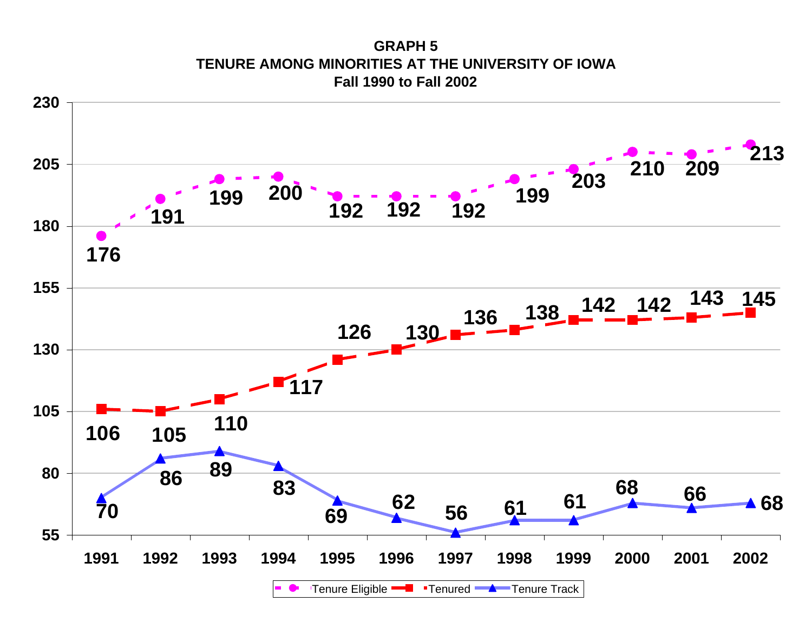**GRAPH 5TENURE AMONG MINORITIES AT THE UNIVERSITY OF IOWA Fall 1990 to Fall 2002**

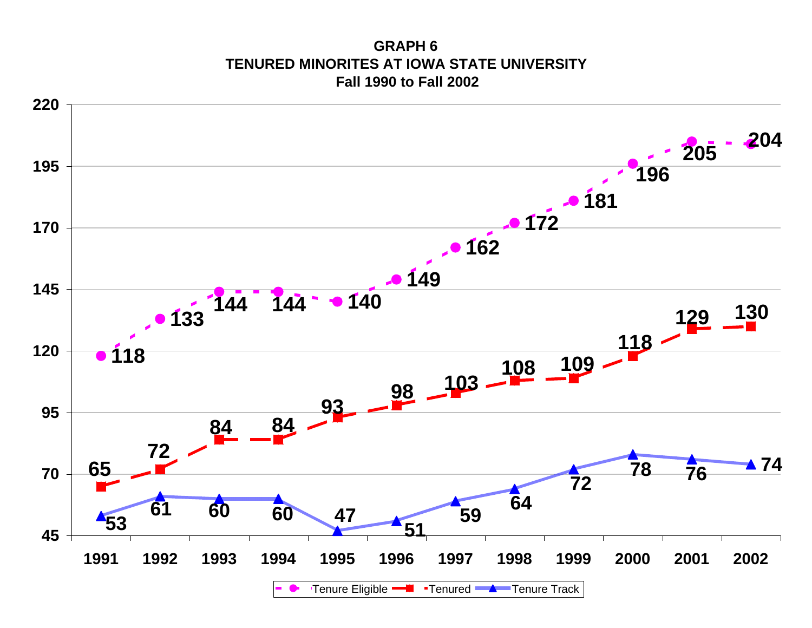**GRAPH 6TENURED MINORITES AT IOWA STATE UNIVERSITY Fall 1990 to Fall 2002**

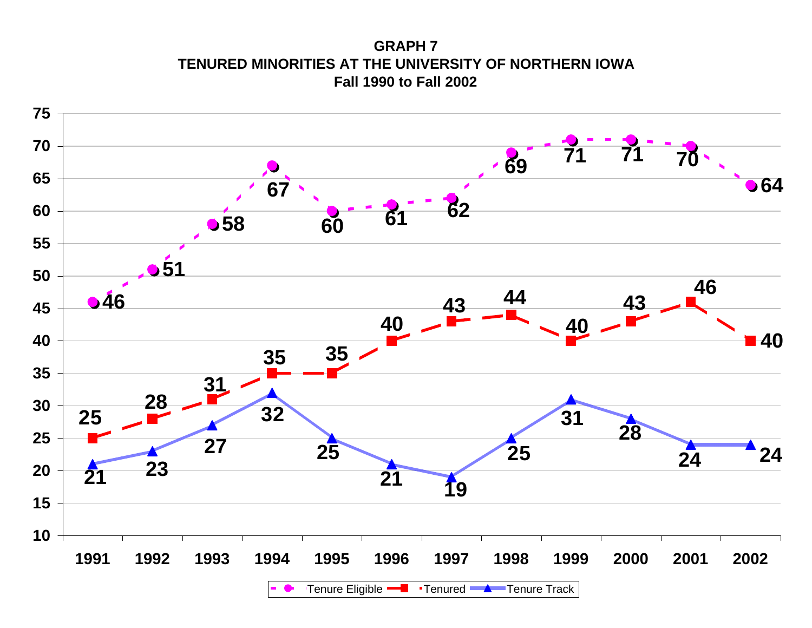**GRAPH 7TENURED MINORITIES AT THE UNIVERSITY OF NORTHERN IOWA Fall 1990 to Fall 2002**

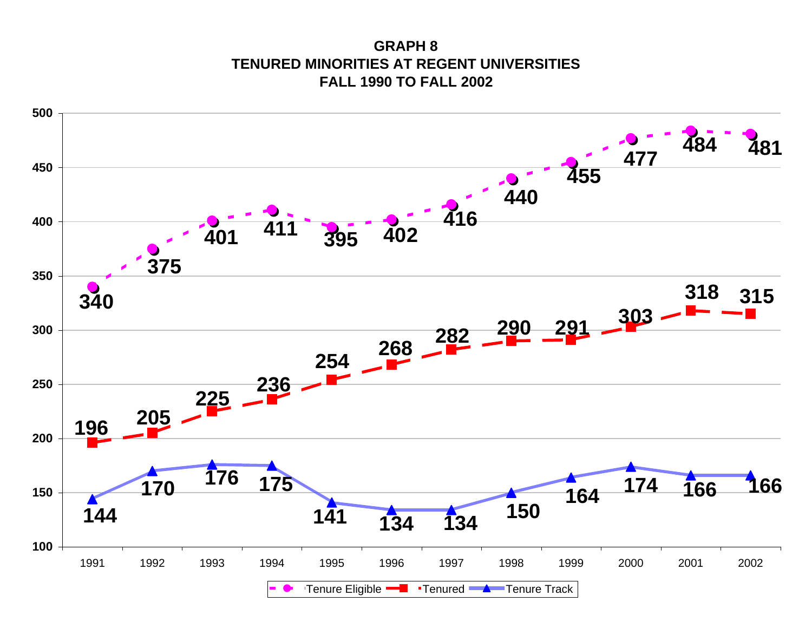**GRAPH 8TENURED MINORITIES AT REGENT UNIVERSITIESFALL 1990 TO FALL 2002**

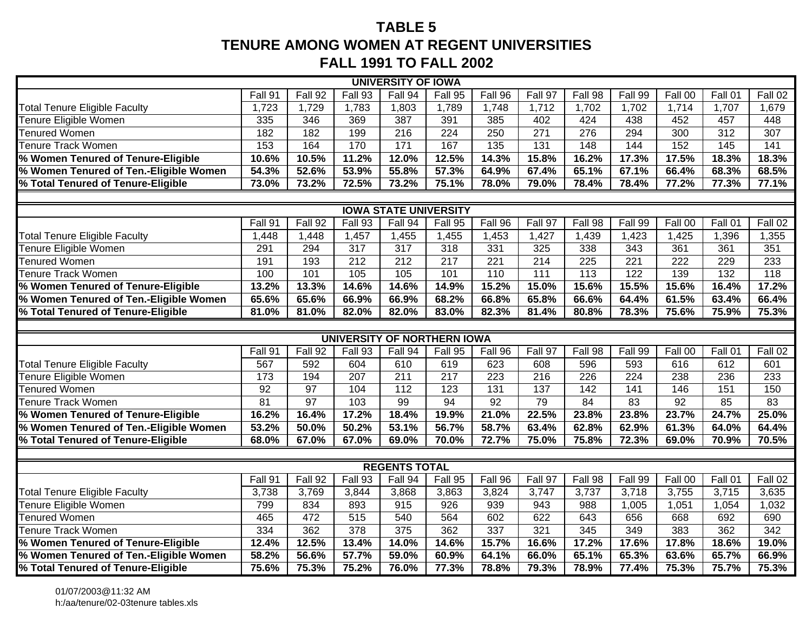# **TABLE 5TENURE AMONG WOMEN AT REGENT UNIVERSITIES FALL 1991 TO FALL 2002**

|                                                                                                                       |                 |                 |                  | <b>UNIVERSITY OF IOWA</b> |                  |                  |                  |                  |                  |         |                   |                  |
|-----------------------------------------------------------------------------------------------------------------------|-----------------|-----------------|------------------|---------------------------|------------------|------------------|------------------|------------------|------------------|---------|-------------------|------------------|
| Fall 91<br>Fall 92<br>Fall 94<br>Fall 95<br>Fall 96<br>Fall 97<br>Fall 98<br>Fall 99<br>Fall 00<br>Fall 93<br>Fall 01 |                 |                 |                  |                           |                  |                  |                  |                  |                  |         |                   | Fall 02          |
| <b>Total Tenure Eligible Faculty</b>                                                                                  | 1,723           | 1,729           | 1,783            | 1,803                     | 1,789            | 1,748            | 1,712            | 1,702            | 1,702            | 1,714   | 1,707             | 1,679            |
| Tenure Eligible Women                                                                                                 | $\frac{1}{335}$ | 346             | 369              | 387                       | 391              | 385              | 402              | 424              | 438              | 452     | 457               | 448              |
| <b>Tenured Women</b>                                                                                                  | 182             | 182             | 199              | $\overline{216}$          | 224              | 250              | $\overline{271}$ | 276              | 294              | 300     | $\overline{312}$  | 307              |
| <b>Tenure Track Women</b>                                                                                             | 153             | 164             | 170              | $171$                     | 167              | $\overline{135}$ | $\overline{131}$ | 148              | 144              | 152     | $\frac{145}{145}$ | 141              |
| % Women Tenured of Tenure-Eligible                                                                                    | 10.6%           | 10.5%           | 11.2%            | 12.0%                     | 12.5%            | 14.3%            | 15.8%            | 16.2%            | 17.3%            | 17.5%   | 18.3%             | 18.3%            |
| % Women Tenured of Ten.-Eligible Women                                                                                | 54.3%           | 52.6%           | 53.9%            | 55.8%                     | 57.3%            | 64.9%            | 67.4%            | 65.1%            | 67.1%            | 66.4%   | 68.3%             | 68.5%            |
| % Total Tenured of Tenure-Eligible                                                                                    | 73.0%           | 73.2%           | 72.5%            | 73.2%                     | 75.1%            | 78.0%            | 79.0%            | 78.4%            | 78.4%            | 77.2%   | 77.3%             | 77.1%            |
|                                                                                                                       |                 |                 |                  |                           |                  |                  |                  |                  |                  |         |                   |                  |
| <b>IOWA STATE UNIVERSITY</b>                                                                                          |                 |                 |                  |                           |                  |                  |                  |                  |                  |         |                   |                  |
|                                                                                                                       | Fall 91         | Fall 92         | Fall 93          | Fall 94                   | Fall 95          | Fall 96          | Fall 97          | Fall 98          | Fall 99          | Fall 00 | Fall 01           | Fall 02          |
| <b>Total Tenure Eligible Faculty</b>                                                                                  | 1,448           | 1,448           | 1,457            | 1,455                     | 1,455            | 1,453            | 1,427            | 1,439            | 1,423            | 1,425   | 1,396             | 1,355            |
| Tenure Eligible Women                                                                                                 | 291             | 294             | 317              | 317                       | 318              | 331              | 325              | 338              | 343              | 361     | 361               | 351              |
| <b>Tenured Women</b>                                                                                                  | 191             | 193             | 212              | 212                       | $\overline{217}$ | 221              | 214              | 225              | 221              | 222     | 229               | 233              |
| Tenure Track Women                                                                                                    | 100             | 101             | 105              | 105                       | 101              | 110              | 111              | 113              | 122              | 139     | 132               | 118              |
| % Women Tenured of Tenure-Eligible                                                                                    | 13.2%           | 13.3%           | 14.6%            | 14.6%                     | 14.9%            | 15.2%            | 15.0%            | 15.6%            | 15.5%            | 15.6%   | 16.4%             | 17.2%            |
| % Women Tenured of Ten.-Eligible Women                                                                                | 65.6%           | 65.6%           | 66.9%            | 66.9%                     | 68.2%            | 66.8%            | 65.8%            | 66.6%            | 64.4%            | 61.5%   | 63.4%             | 66.4%            |
| % Total Tenured of Tenure-Eligible                                                                                    | 81.0%           | 81.0%           | 82.0%            | 82.0%                     | 83.0%            | 82.3%            | 81.4%            | 80.8%            | 78.3%            | 75.6%   | 75.9%             | 75.3%            |
|                                                                                                                       |                 |                 |                  |                           |                  |                  |                  |                  |                  |         |                   |                  |
| UNIVERSITY OF NORTHERN IOWA                                                                                           |                 |                 |                  |                           |                  |                  |                  |                  |                  |         |                   |                  |
|                                                                                                                       | Fall 91         | Fall 92         | Fall 93          | Fall 94                   | Fall 95          | Fall 96          | Fall 97          | Fall 98          | Fall 99          | Fall 00 | Fall 01           | Fall 02          |
| <b>Total Tenure Eligible Faculty</b>                                                                                  | 567             | 592             | 604              | 610                       | 619              | 623              | 608              | 596              | 593              | 616     | $\overline{612}$  | 601              |
| Tenure Eligible Women                                                                                                 | $\frac{1}{173}$ | 194             | 207              | $\overline{211}$          | 217              | $\overline{223}$ | $\overline{216}$ | $\overline{226}$ | $\overline{224}$ | 238     | 236               | 233              |
| <b>Tenured Women</b>                                                                                                  | $\overline{92}$ | $\overline{97}$ | 104              | 112                       | 123              | 131              | 137              | 142              | 141              | 146     | 151               | 150              |
| Tenure Track Women                                                                                                    | 81              | 97              | 103              | 99                        | 94               | $\overline{92}$  | $\overline{79}$  | 84               | $\overline{83}$  | 92      | 85                | $\overline{83}$  |
| % Women Tenured of Tenure-Eligible                                                                                    | 16.2%           | 16.4%           | 17.2%            | 18.4%                     | 19.9%            | 21.0%            | 22.5%            | 23.8%            | 23.8%            | 23.7%   | 24.7%             | 25.0%            |
| % Women Tenured of Ten.-Eligible Women                                                                                | 53.2%           | 50.0%           | 50.2%            | 53.1%                     | 56.7%            | 58.7%            | 63.4%            | 62.8%            | 62.9%            | 61.3%   | 64.0%             | 64.4%            |
| % Total Tenured of Tenure-Eligible                                                                                    | 68.0%           | 67.0%           | 67.0%            | 69.0%                     | 70.0%            | 72.7%            | 75.0%            | 75.8%            | 72.3%            | 69.0%   | 70.9%             | 70.5%            |
|                                                                                                                       |                 |                 |                  | <b>REGENTS TOTAL</b>      |                  |                  |                  |                  |                  |         |                   |                  |
|                                                                                                                       | Fall 91         | Fall 92         | Fall 93          | Fall 94                   | Fall 95          | Fall 96          | Fall 97          | Fall 98          | Fall 99          | Fall 00 | Fall 01           | Fall 02          |
| <b>Total Tenure Eligible Faculty</b>                                                                                  | 3,738           | 3,769           | 3,844            | 3,868                     | 3,863            | 3,824            | 3,747            | 3,737            | 3,718            | 3,755   | 3,715             | 3,635            |
| Tenure Eligible Women                                                                                                 | 799             | 834             | 893              | 915                       | 926              | 939              | 943              | 988              | 1,005            | 1,051   | 1,054             | 1,032            |
| <b>Tenured Women</b>                                                                                                  | 465             | 472             | 515              | 540                       | 564              | 602              | 622              | 643              | 656              | 668     | 692               | 690              |
| Tenure Track Women                                                                                                    | $\frac{1}{334}$ | 362             | $\overline{378}$ | $\frac{1}{375}$           | 362              | 337              | 321              | 345              | 349              | 383     | 362               | $\overline{342}$ |
| % Women Tenured of Tenure-Eligible                                                                                    | 12.4%           | 12.5%           | 13.4%            | 14.0%                     | 14.6%            | 15.7%            | 16.6%            | 17.2%            | 17.6%            | 17.8%   | 18.6%             | 19.0%            |
| % Women Tenured of Ten.-Eligible Women                                                                                | 58.2%           | 56.6%           | 57.7%            | 59.0%                     | 60.9%            | 64.1%            | 66.0%            | 65.1%            | 65.3%            | 63.6%   | 65.7%             | 66.9%            |
| % Total Tenured of Tenure-Eligible                                                                                    | 75.6%           | 75.3%           | 75.2%            | 76.0%                     | 77.3%            | 78.8%            | 79.3%            | 78.9%            | 77.4%            | 75.3%   | 75.7%             | 75.3%            |
|                                                                                                                       |                 |                 |                  |                           |                  |                  |                  |                  |                  |         |                   |                  |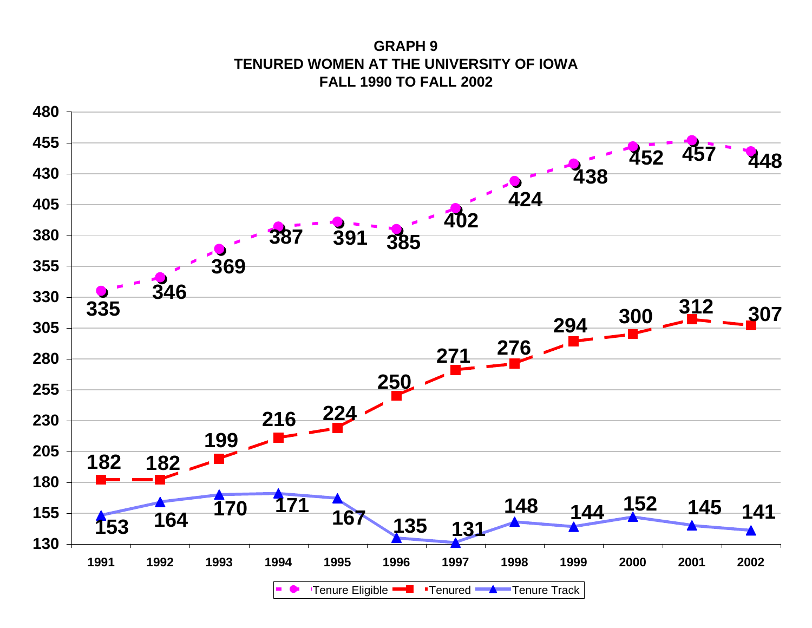**GRAPH 9TENURED WOMEN AT THE UNIVERSITY OF IOWAFALL 1990 TO FALL 2002**

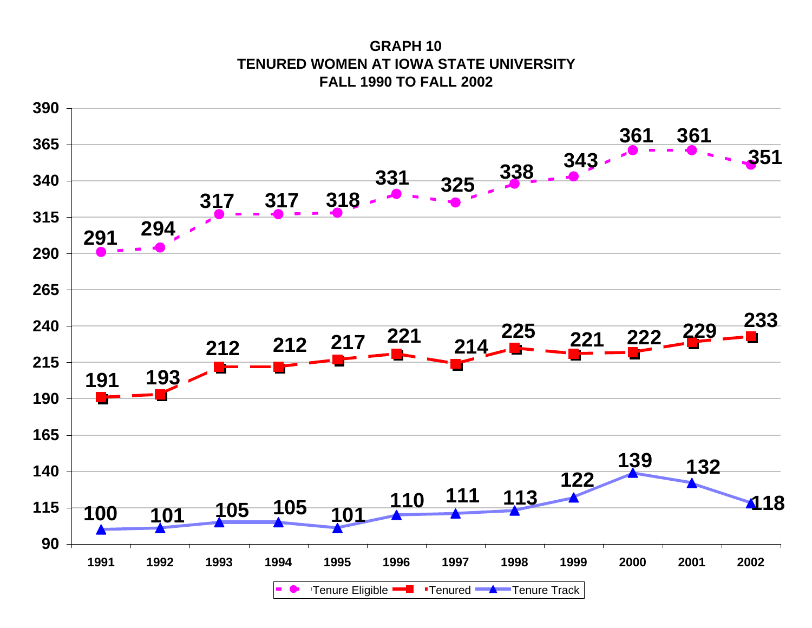**GRAPH 10TENURED WOMEN AT IOWA STATE UNIVERSITYFALL 1990 TO FALL 2002**

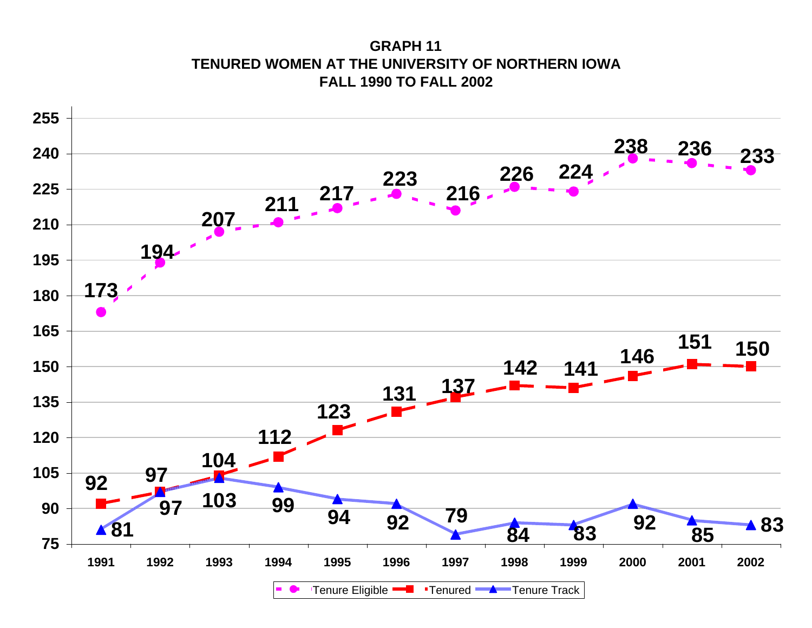**GRAPH 11TENURED WOMEN AT THE UNIVERSITY OF NORTHERN IOWAFALL 1990 TO FALL 2002**

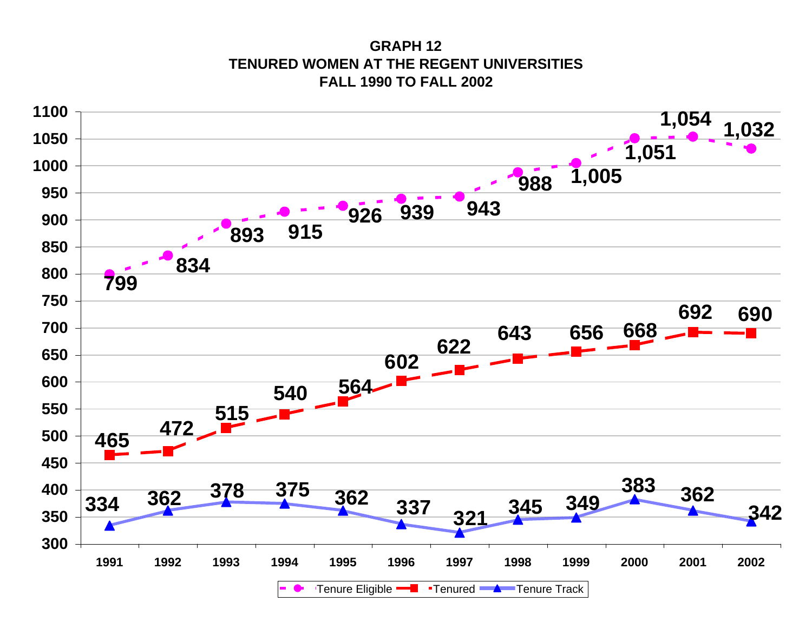**GRAPH 12TENURED WOMEN AT THE REGENT UNIVERSITIESFALL 1990 TO FALL 2002**

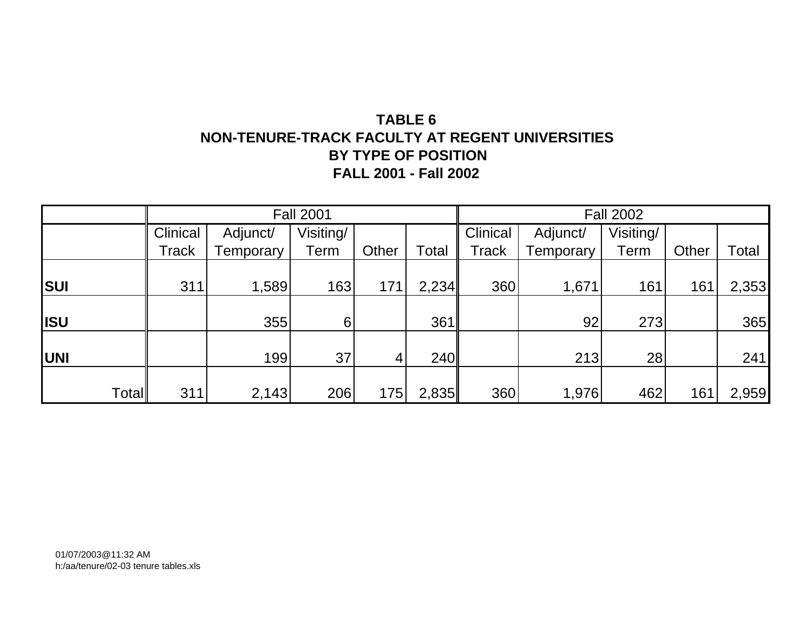# **TABLE 6 NON-TENURE-TRACK FACULTY AT REGENT UNIVERSITIES BY TYPE OF POSITION FALL 2001 - Fall 2002**

|            |       |                 |           | <b>Fall 2001</b> |       | <b>Fall 2002</b> |                 |           |           |       |       |  |
|------------|-------|-----------------|-----------|------------------|-------|------------------|-----------------|-----------|-----------|-------|-------|--|
|            |       | <b>Clinical</b> | Adjunct/  | Visiting/        |       |                  | <b>Clinical</b> | Adjunct/  | Visiting/ |       |       |  |
|            |       | Track           | Temporary | Term             | Other | Total            | <b>Track</b>    | Temporary | Term      | Other | Total |  |
|            |       |                 |           |                  |       |                  |                 |           |           |       |       |  |
| <b>SUI</b> |       | 311             | 1,589     | 163              | 171   | 2,234            | 360             | 1,671     | 161       | 161   | 2,353 |  |
|            |       |                 |           |                  |       |                  |                 |           |           |       |       |  |
| <b>ISU</b> |       |                 | 355       | 6                |       | 361              |                 | 92        | 273       |       | 365   |  |
|            |       |                 |           |                  |       |                  |                 |           |           |       |       |  |
| <b>UNI</b> |       |                 | 199       | 37               | 4     | <b>240</b>       |                 | 213       | 28        |       | 241   |  |
|            |       |                 |           |                  |       |                  |                 |           |           |       |       |  |
|            | Total | 311             | 2,143     | 206              | 175   | 2,835            | 360             | 1,976     | 462       | 161   | 2,959 |  |